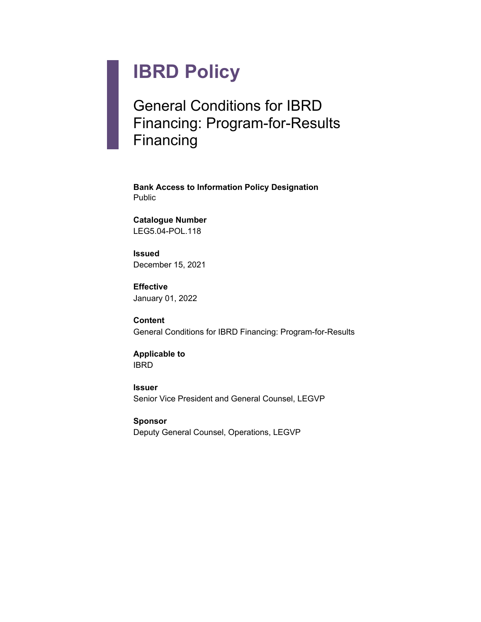# **IBRD Policy**

# General Conditions for IBRD Financing: Program-for-Results Financing

**Bank Access to Information Policy Designation** Public

**Catalogue Number** LEG5.04-POL.118

**Issued** December 15, 2021

**Effective** January 01, 2022

**Content** General Conditions for IBRD Financing: Program-for-Results

**Applicable to** IBRD

**Issuer** Senior Vice President and General Counsel, LEGVP

**Sponsor** Deputy General Counsel, Operations, LEGVP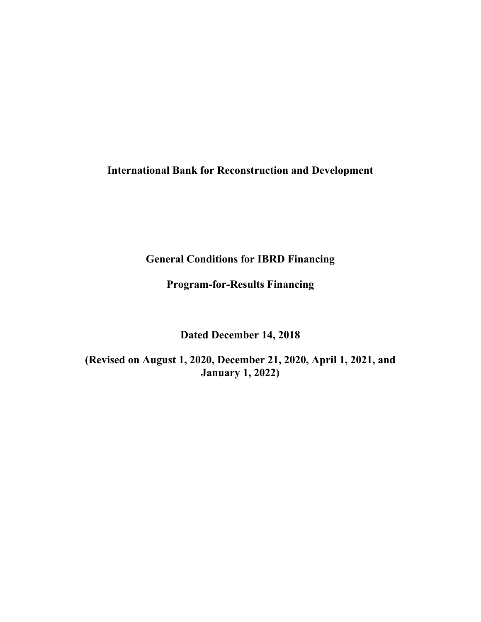**International Bank for Reconstruction and Development**

**General Conditions for IBRD Financing**

**Program-for-Results Financing**

**Dated December 14, 2018**

**(Revised on August 1, 2020, December 21, 2020, April 1, 2021, and January 1, 2022)**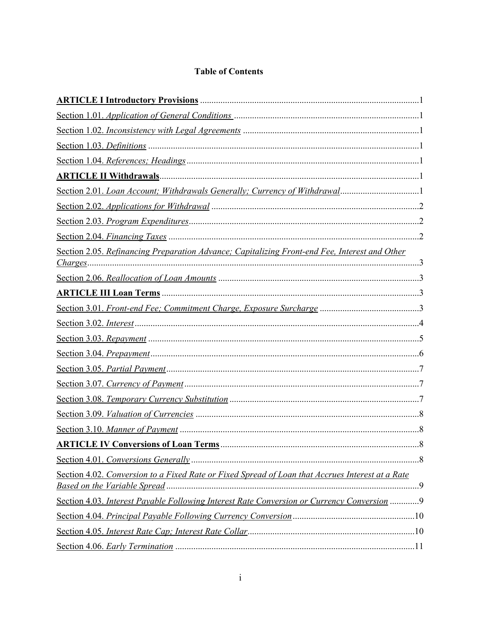# **Table of Contents**

| Section 2.05. Refinancing Preparation Advance; Capitalizing Front-end Fee, Interest and Other    |
|--------------------------------------------------------------------------------------------------|
|                                                                                                  |
|                                                                                                  |
|                                                                                                  |
|                                                                                                  |
|                                                                                                  |
|                                                                                                  |
|                                                                                                  |
|                                                                                                  |
|                                                                                                  |
|                                                                                                  |
|                                                                                                  |
| .8<br><b>ARTICLE IV Conversions of Loan Terms.</b>                                               |
|                                                                                                  |
| Section 4.02. Conversion to a Fixed Rate or Fixed Spread of Loan that Accrues Interest at a Rate |
| Section 4.03. Interest Payable Following Interest Rate Conversion or Currency Conversion 9       |
|                                                                                                  |
|                                                                                                  |
|                                                                                                  |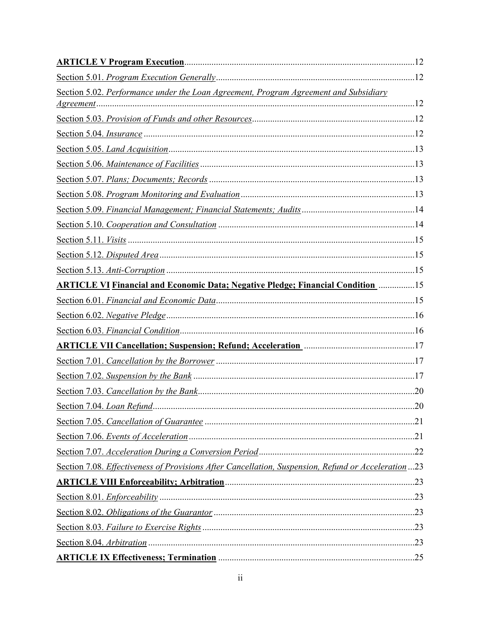| Section 5.02. Performance under the Loan Agreement, Program Agreement and Subsidiary                                                                                |  |
|---------------------------------------------------------------------------------------------------------------------------------------------------------------------|--|
|                                                                                                                                                                     |  |
|                                                                                                                                                                     |  |
|                                                                                                                                                                     |  |
|                                                                                                                                                                     |  |
|                                                                                                                                                                     |  |
|                                                                                                                                                                     |  |
|                                                                                                                                                                     |  |
|                                                                                                                                                                     |  |
|                                                                                                                                                                     |  |
|                                                                                                                                                                     |  |
|                                                                                                                                                                     |  |
|                                                                                                                                                                     |  |
| <b>ARTICLE VI Financial and Economic Data; Negative Pledge; Financial Condition metallication</b>                                                                   |  |
|                                                                                                                                                                     |  |
|                                                                                                                                                                     |  |
|                                                                                                                                                                     |  |
| <b>ARTICLE VII Cancellation; Suspension; Refund; Acceleration material contracts and ARTICLE VII Cancellation; Suspension; Refund; Acceleration</b> material and 17 |  |
|                                                                                                                                                                     |  |
|                                                                                                                                                                     |  |
|                                                                                                                                                                     |  |
|                                                                                                                                                                     |  |
|                                                                                                                                                                     |  |
|                                                                                                                                                                     |  |
|                                                                                                                                                                     |  |
| Section 7.08. Effectiveness of Provisions After Cancellation, Suspension, Refund or Acceleration23                                                                  |  |
|                                                                                                                                                                     |  |
|                                                                                                                                                                     |  |
|                                                                                                                                                                     |  |
|                                                                                                                                                                     |  |
|                                                                                                                                                                     |  |
|                                                                                                                                                                     |  |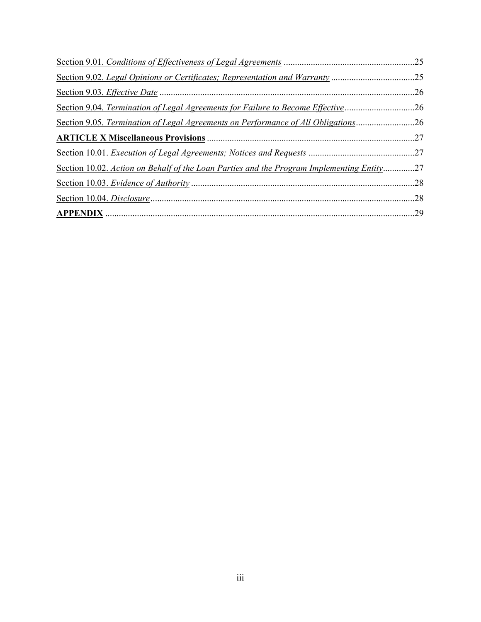| Section 9.02. Legal Opinions or Certificates; Representation and Warranty 25              |     |
|-------------------------------------------------------------------------------------------|-----|
|                                                                                           | .26 |
| Section 9.04. Termination of Legal Agreements for Failure to Become Effective             | .26 |
| Section 9.05. Termination of Legal Agreements on Performance of All Obligations26         |     |
|                                                                                           |     |
|                                                                                           |     |
| Section 10.02. Action on Behalf of the Loan Parties and the Program Implementing Entity27 |     |
|                                                                                           |     |
|                                                                                           |     |
|                                                                                           |     |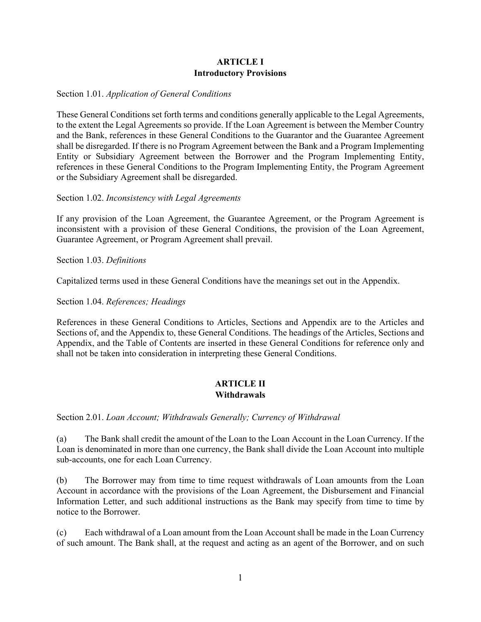# <span id="page-5-0"></span>**ARTICLE I Introductory Provisions**

#### <span id="page-5-1"></span>Section 1.01. *Application of General Conditions*

These General Conditions set forth terms and conditions generally applicable to the Legal Agreements, to the extent the Legal Agreements so provide. If the Loan Agreement is between the Member Country and the Bank, references in these General Conditions to the Guarantor and the Guarantee Agreement shall be disregarded. If there is no Program Agreement between the Bank and a Program Implementing Entity or Subsidiary Agreement between the Borrower and the Program Implementing Entity, references in these General Conditions to the Program Implementing Entity, the Program Agreement or the Subsidiary Agreement shall be disregarded.

#### <span id="page-5-2"></span>Section 1.02. *Inconsistency with Legal Agreements*

If any provision of the Loan Agreement, the Guarantee Agreement, or the Program Agreement is inconsistent with a provision of these General Conditions, the provision of the Loan Agreement, Guarantee Agreement, or Program Agreement shall prevail.

#### <span id="page-5-3"></span>Section 1.03. *Definitions*

Capitalized terms used in these General Conditions have the meanings set out in the Appendix.

<span id="page-5-4"></span>Section 1.04. *References; Headings*

References in these General Conditions to Articles, Sections and Appendix are to the Articles and Sections of, and the Appendix to, these General Conditions. The headings of the Articles, Sections and Appendix, and the Table of Contents are inserted in these General Conditions for reference only and shall not be taken into consideration in interpreting these General Conditions.

# <span id="page-5-5"></span>**ARTICLE II Withdrawals**

<span id="page-5-6"></span>Section 2.01. *Loan Account; Withdrawals Generally; Currency of Withdrawal*

(a) The Bank shall credit the amount of the Loan to the Loan Account in the Loan Currency. If the Loan is denominated in more than one currency, the Bank shall divide the Loan Account into multiple sub-accounts, one for each Loan Currency.

(b) The Borrower may from time to time request withdrawals of Loan amounts from the Loan Account in accordance with the provisions of the Loan Agreement, the Disbursement and Financial Information Letter, and such additional instructions as the Bank may specify from time to time by notice to the Borrower.

(c) Each withdrawal of a Loan amount from the Loan Account shall be made in the Loan Currency of such amount. The Bank shall, at the request and acting as an agent of the Borrower, and on such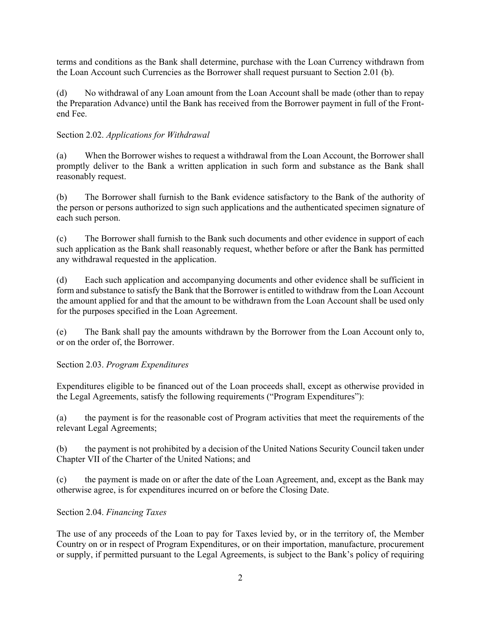terms and conditions as the Bank shall determine, purchase with the Loan Currency withdrawn from the Loan Account such Currencies as the Borrower shall request pursuant to Section 2.01 (b).

(d) No withdrawal of any Loan amount from the Loan Account shall be made (other than to repay the Preparation Advance) until the Bank has received from the Borrower payment in full of the Frontend Fee.

# <span id="page-6-0"></span>Section 2.02. *Applications for Withdrawal*

(a) When the Borrower wishes to request a withdrawal from the Loan Account, the Borrower shall promptly deliver to the Bank a written application in such form and substance as the Bank shall reasonably request.

(b) The Borrower shall furnish to the Bank evidence satisfactory to the Bank of the authority of the person or persons authorized to sign such applications and the authenticated specimen signature of each such person.

(c) The Borrower shall furnish to the Bank such documents and other evidence in support of each such application as the Bank shall reasonably request, whether before or after the Bank has permitted any withdrawal requested in the application.

(d) Each such application and accompanying documents and other evidence shall be sufficient in form and substance to satisfy the Bank that the Borrower is entitled to withdraw from the Loan Account the amount applied for and that the amount to be withdrawn from the Loan Account shall be used only for the purposes specified in the Loan Agreement.

(e) The Bank shall pay the amounts withdrawn by the Borrower from the Loan Account only to, or on the order of, the Borrower.

<span id="page-6-1"></span>Section 2.03. *Program Expenditures* 

Expenditures eligible to be financed out of the Loan proceeds shall, except as otherwise provided in the Legal Agreements, satisfy the following requirements ("Program Expenditures"):

(a) the payment is for the reasonable cost of Program activities that meet the requirements of the relevant Legal Agreements;

(b) the payment is not prohibited by a decision of the United Nations Security Council taken under Chapter VII of the Charter of the United Nations; and

<span id="page-6-2"></span>(c) the payment is made on or after the date of the Loan Agreement, and, except as the Bank may otherwise agree, is for expenditures incurred on or before the Closing Date.

# Section 2.04. *Financing Taxes*

The use of any proceeds of the Loan to pay for Taxes levied by, or in the territory of, the Member Country on or in respect of Program Expenditures, or on their importation, manufacture, procurement or supply, if permitted pursuant to the Legal Agreements, is subject to the Bank's policy of requiring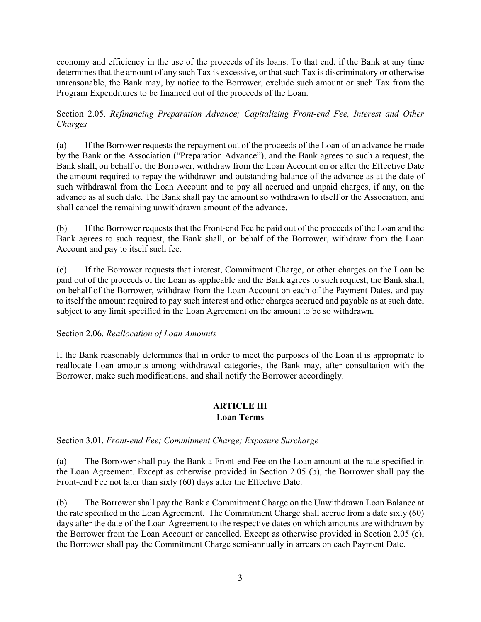economy and efficiency in the use of the proceeds of its loans. To that end, if the Bank at any time determines that the amount of any such Tax is excessive, or that such Tax is discriminatory or otherwise unreasonable, the Bank may, by notice to the Borrower, exclude such amount or such Tax from the Program Expenditures to be financed out of the proceeds of the Loan.

<span id="page-7-0"></span>Section 2.05. *Refinancing Preparation Advance; Capitalizing Front-end Fee, Interest and Other Charges* 

(a) If the Borrower requests the repayment out of the proceeds of the Loan of an advance be made by the Bank or the Association ("Preparation Advance"), and the Bank agrees to such a request, the Bank shall, on behalf of the Borrower, withdraw from the Loan Account on or after the Effective Date the amount required to repay the withdrawn and outstanding balance of the advance as at the date of such withdrawal from the Loan Account and to pay all accrued and unpaid charges, if any, on the advance as at such date. The Bank shall pay the amount so withdrawn to itself or the Association, and shall cancel the remaining unwithdrawn amount of the advance.

(b) If the Borrower requests that the Front-end Fee be paid out of the proceeds of the Loan and the Bank agrees to such request, the Bank shall, on behalf of the Borrower, withdraw from the Loan Account and pay to itself such fee.

(c) If the Borrower requests that interest, Commitment Charge, or other charges on the Loan be paid out of the proceeds of the Loan as applicable and the Bank agrees to such request, the Bank shall, on behalf of the Borrower, withdraw from the Loan Account on each of the Payment Dates, and pay to itself the amount required to pay such interest and other charges accrued and payable as at such date, subject to any limit specified in the Loan Agreement on the amount to be so withdrawn.

<span id="page-7-1"></span>Section 2.06. *Reallocation of Loan Amounts*

If the Bank reasonably determines that in order to meet the purposes of the Loan it is appropriate to reallocate Loan amounts among withdrawal categories, the Bank may, after consultation with the Borrower, make such modifications, and shall notify the Borrower accordingly.

# <span id="page-7-2"></span>**ARTICLE III Loan Terms**

<span id="page-7-3"></span>Section 3.01. *Front-end Fee; Commitment Charge; Exposure Surcharge*

(a) The Borrower shall pay the Bank a Front-end Fee on the Loan amount at the rate specified in the Loan Agreement. Except as otherwise provided in Section 2.05 (b), the Borrower shall pay the Front-end Fee not later than sixty (60) days after the Effective Date.

(b) The Borrower shall pay the Bank a Commitment Charge on the Unwithdrawn Loan Balance at the rate specified in the Loan Agreement. The Commitment Charge shall accrue from a date sixty (60) days after the date of the Loan Agreement to the respective dates on which amounts are withdrawn by the Borrower from the Loan Account or cancelled. Except as otherwise provided in Section 2.05 (c), the Borrower shall pay the Commitment Charge semi-annually in arrears on each Payment Date.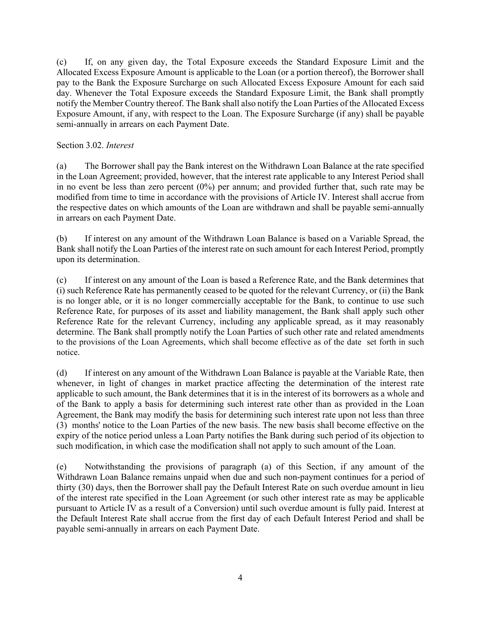(c) If, on any given day, the Total Exposure exceeds the Standard Exposure Limit and the Allocated Excess Exposure Amount is applicable to the Loan (or a portion thereof), the Borrower shall pay to the Bank the Exposure Surcharge on such Allocated Excess Exposure Amount for each said day. Whenever the Total Exposure exceeds the Standard Exposure Limit, the Bank shall promptly notify the Member Country thereof. The Bank shall also notify the Loan Parties of the Allocated Excess Exposure Amount, if any, with respect to the Loan. The Exposure Surcharge (if any) shall be payable semi-annually in arrears on each Payment Date.

#### <span id="page-8-0"></span>Section 3.02. *Interest*

(a) The Borrower shall pay the Bank interest on the Withdrawn Loan Balance at the rate specified in the Loan Agreement; provided, however, that the interest rate applicable to any Interest Period shall in no event be less than zero percent (0%) per annum; and provided further that, such rate may be modified from time to time in accordance with the provisions of Article IV. Interest shall accrue from the respective dates on which amounts of the Loan are withdrawn and shall be payable semi-annually in arrears on each Payment Date.

(b) If interest on any amount of the Withdrawn Loan Balance is based on a Variable Spread, the Bank shall notify the Loan Parties of the interest rate on such amount for each Interest Period, promptly upon its determination.

(c) If interest on any amount of the Loan is based a Reference Rate, and the Bank determines that (i) such Reference Rate has permanently ceased to be quoted for the relevant Currency, or (ii) the Bank is no longer able, or it is no longer commercially acceptable for the Bank, to continue to use such Reference Rate, for purposes of its asset and liability management, the Bank shall apply such other Reference Rate for the relevant Currency, including any applicable spread, as it may reasonably determine. The Bank shall promptly notify the Loan Parties of such other rate and related amendments to the provisions of the Loan Agreements, which shall become effective as of the date set forth in such notice.

(d) If interest on any amount of the Withdrawn Loan Balance is payable at the Variable Rate, then whenever, in light of changes in market practice affecting the determination of the interest rate applicable to such amount, the Bank determines that it is in the interest of its borrowers as a whole and of the Bank to apply a basis for determining such interest rate other than as provided in the Loan Agreement, the Bank may modify the basis for determining such interest rate upon not less than three (3) months' notice to the Loan Parties of the new basis. The new basis shall become effective on the expiry of the notice period unless a Loan Party notifies the Bank during such period of its objection to such modification, in which case the modification shall not apply to such amount of the Loan.

(e) Notwithstanding the provisions of paragraph (a) of this Section, if any amount of the Withdrawn Loan Balance remains unpaid when due and such non-payment continues for a period of thirty (30) days, then the Borrower shall pay the Default Interest Rate on such overdue amount in lieu of the interest rate specified in the Loan Agreement (or such other interest rate as may be applicable pursuant to Article IV as a result of a Conversion) until such overdue amount is fully paid. Interest at the Default Interest Rate shall accrue from the first day of each Default Interest Period and shall be payable semi-annually in arrears on each Payment Date.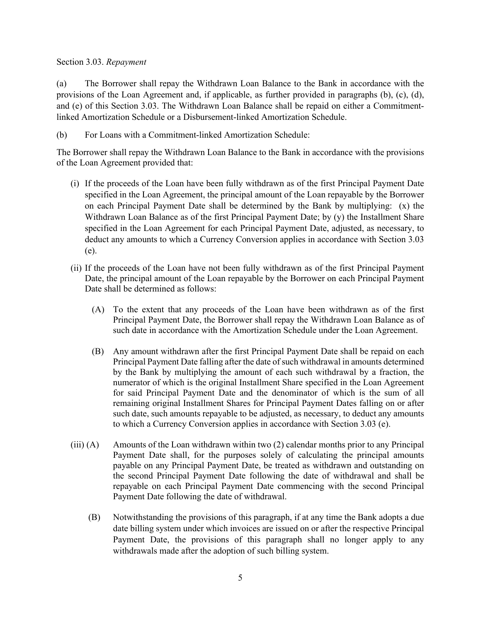#### <span id="page-9-0"></span>Section 3.03. *Repayment*

(a) The Borrower shall repay the Withdrawn Loan Balance to the Bank in accordance with the provisions of the Loan Agreement and, if applicable, as further provided in paragraphs (b), (c), (d), and (e) of this Section 3.03. The Withdrawn Loan Balance shall be repaid on either a Commitmentlinked Amortization Schedule or a Disbursement-linked Amortization Schedule.

(b) For Loans with a Commitment-linked Amortization Schedule:

The Borrower shall repay the Withdrawn Loan Balance to the Bank in accordance with the provisions of the Loan Agreement provided that:

- (i) If the proceeds of the Loan have been fully withdrawn as of the first Principal Payment Date specified in the Loan Agreement, the principal amount of the Loan repayable by the Borrower on each Principal Payment Date shall be determined by the Bank by multiplying:  $(x)$  the Withdrawn Loan Balance as of the first Principal Payment Date; by (y) the Installment Share specified in the Loan Agreement for each Principal Payment Date, adjusted, as necessary, to deduct any amounts to which a Currency Conversion applies in accordance with Section 3.03 (e).
- (ii) If the proceeds of the Loan have not been fully withdrawn as of the first Principal Payment Date, the principal amount of the Loan repayable by the Borrower on each Principal Payment Date shall be determined as follows:
	- (A) To the extent that any proceeds of the Loan have been withdrawn as of the first Principal Payment Date, the Borrower shall repay the Withdrawn Loan Balance as of such date in accordance with the Amortization Schedule under the Loan Agreement.
	- (B) Any amount withdrawn after the first Principal Payment Date shall be repaid on each Principal Payment Date falling after the date of such withdrawal in amounts determined by the Bank by multiplying the amount of each such withdrawal by a fraction, the numerator of which is the original Installment Share specified in the Loan Agreement for said Principal Payment Date and the denominator of which is the sum of all remaining original Installment Shares for Principal Payment Dates falling on or after such date, such amounts repayable to be adjusted, as necessary, to deduct any amounts to which a Currency Conversion applies in accordance with Section 3.03 (e).
- $(iii)$  (A) Amounts of the Loan withdrawn within two (2) calendar months prior to any Principal Payment Date shall, for the purposes solely of calculating the principal amounts payable on any Principal Payment Date, be treated as withdrawn and outstanding on the second Principal Payment Date following the date of withdrawal and shall be repayable on each Principal Payment Date commencing with the second Principal Payment Date following the date of withdrawal.
	- (B) Notwithstanding the provisions of this paragraph, if at any time the Bank adopts a due date billing system under which invoices are issued on or after the respective Principal Payment Date, the provisions of this paragraph shall no longer apply to any withdrawals made after the adoption of such billing system.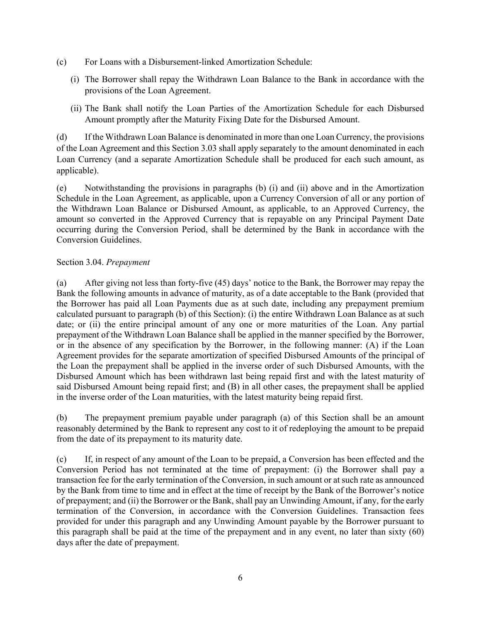- (c) For Loans with a Disbursement-linked Amortization Schedule:
	- (i) The Borrower shall repay the Withdrawn Loan Balance to the Bank in accordance with the provisions of the Loan Agreement.
	- (ii) The Bank shall notify the Loan Parties of the Amortization Schedule for each Disbursed Amount promptly after the Maturity Fixing Date for the Disbursed Amount.

(d) If the Withdrawn Loan Balance is denominated in more than one Loan Currency, the provisions of the Loan Agreement and this Section 3.03 shall apply separately to the amount denominated in each Loan Currency (and a separate Amortization Schedule shall be produced for each such amount, as applicable).

(e) Notwithstanding the provisions in paragraphs (b) (i) and (ii) above and in the Amortization Schedule in the Loan Agreement, as applicable, upon a Currency Conversion of all or any portion of the Withdrawn Loan Balance or Disbursed Amount, as applicable, to an Approved Currency, the amount so converted in the Approved Currency that is repayable on any Principal Payment Date occurring during the Conversion Period, shall be determined by the Bank in accordance with the Conversion Guidelines.

# <span id="page-10-0"></span>Section 3.04. *Prepayment*

(a) After giving not less than forty-five (45) days' notice to the Bank, the Borrower may repay the Bank the following amounts in advance of maturity, as of a date acceptable to the Bank (provided that the Borrower has paid all Loan Payments due as at such date, including any prepayment premium calculated pursuant to paragraph (b) of this Section): (i) the entire Withdrawn Loan Balance as at such date; or (ii) the entire principal amount of any one or more maturities of the Loan. Any partial prepayment of the Withdrawn Loan Balance shall be applied in the manner specified by the Borrower, or in the absence of any specification by the Borrower, in the following manner: (A) if the Loan Agreement provides for the separate amortization of specified Disbursed Amounts of the principal of the Loan the prepayment shall be applied in the inverse order of such Disbursed Amounts, with the Disbursed Amount which has been withdrawn last being repaid first and with the latest maturity of said Disbursed Amount being repaid first; and (B) in all other cases, the prepayment shall be applied in the inverse order of the Loan maturities, with the latest maturity being repaid first.

(b) The prepayment premium payable under paragraph (a) of this Section shall be an amount reasonably determined by the Bank to represent any cost to it of redeploying the amount to be prepaid from the date of its prepayment to its maturity date.

(c) If, in respect of any amount of the Loan to be prepaid, a Conversion has been effected and the Conversion Period has not terminated at the time of prepayment: (i) the Borrower shall pay a transaction fee for the early termination of the Conversion, in such amount or at such rate as announced by the Bank from time to time and in effect at the time of receipt by the Bank of the Borrower's notice of prepayment; and (ii) the Borrower or the Bank, shall pay an Unwinding Amount, if any, for the early termination of the Conversion, in accordance with the Conversion Guidelines. Transaction fees provided for under this paragraph and any Unwinding Amount payable by the Borrower pursuant to this paragraph shall be paid at the time of the prepayment and in any event, no later than sixty (60) days after the date of prepayment.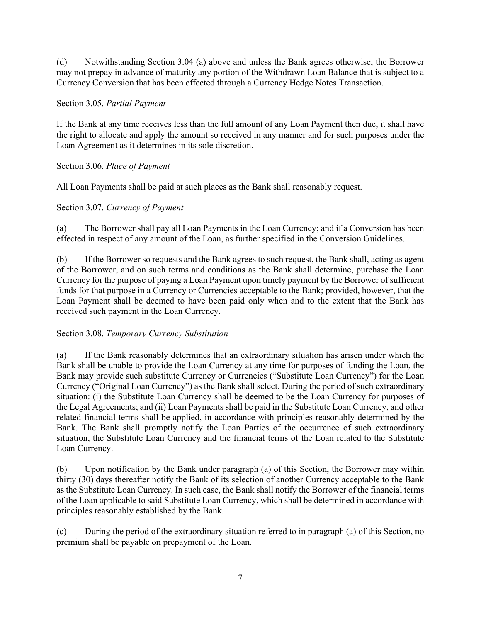(d) Notwithstanding Section 3.04 (a) above and unless the Bank agrees otherwise, the Borrower may not prepay in advance of maturity any portion of the Withdrawn Loan Balance that is subject to a Currency Conversion that has been effected through a Currency Hedge Notes Transaction.

# <span id="page-11-0"></span>Section 3.05. *Partial Payment*

If the Bank at any time receives less than the full amount of any Loan Payment then due, it shall have the right to allocate and apply the amount so received in any manner and for such purposes under the Loan Agreement as it determines in its sole discretion.

# Section 3.06. *Place of Payment*

All Loan Payments shall be paid at such places as the Bank shall reasonably request.

# <span id="page-11-1"></span>Section 3.07. *Currency of Payment*

(a) The Borrower shall pay all Loan Payments in the Loan Currency; and if a Conversion has been effected in respect of any amount of the Loan, as further specified in the Conversion Guidelines.

(b) If the Borrower so requests and the Bank agrees to such request, the Bank shall, acting as agent of the Borrower, and on such terms and conditions as the Bank shall determine, purchase the Loan Currency for the purpose of paying a Loan Payment upon timely payment by the Borrower of sufficient funds for that purpose in a Currency or Currencies acceptable to the Bank; provided, however, that the Loan Payment shall be deemed to have been paid only when and to the extent that the Bank has received such payment in the Loan Currency.

# <span id="page-11-2"></span>Section 3.08. *Temporary Currency Substitution*

(a) If the Bank reasonably determines that an extraordinary situation has arisen under which the Bank shall be unable to provide the Loan Currency at any time for purposes of funding the Loan, the Bank may provide such substitute Currency or Currencies ("Substitute Loan Currency") for the Loan Currency ("Original Loan Currency") as the Bank shall select. During the period of such extraordinary situation: (i) the Substitute Loan Currency shall be deemed to be the Loan Currency for purposes of the Legal Agreements; and (ii) Loan Payments shall be paid in the Substitute Loan Currency, and other related financial terms shall be applied, in accordance with principles reasonably determined by the Bank. The Bank shall promptly notify the Loan Parties of the occurrence of such extraordinary situation, the Substitute Loan Currency and the financial terms of the Loan related to the Substitute Loan Currency.

(b) Upon notification by the Bank under paragraph (a) of this Section, the Borrower may within thirty (30) days thereafter notify the Bank of its selection of another Currency acceptable to the Bank as the Substitute Loan Currency. In such case, the Bank shall notify the Borrower of the financial terms of the Loan applicable to said Substitute Loan Currency, which shall be determined in accordance with principles reasonably established by the Bank.

(c) During the period of the extraordinary situation referred to in paragraph (a) of this Section, no premium shall be payable on prepayment of the Loan.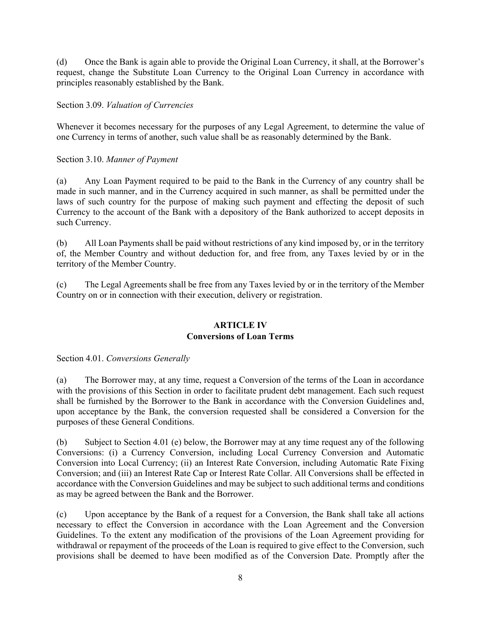(d) Once the Bank is again able to provide the Original Loan Currency, it shall, at the Borrower's request, change the Substitute Loan Currency to the Original Loan Currency in accordance with principles reasonably established by the Bank.

<span id="page-12-0"></span>Section 3.09. *Valuation of Currencies*

Whenever it becomes necessary for the purposes of any Legal Agreement, to determine the value of one Currency in terms of another, such value shall be as reasonably determined by the Bank.

<span id="page-12-1"></span>Section 3.10. *Manner of Payment*

(a) Any Loan Payment required to be paid to the Bank in the Currency of any country shall be made in such manner, and in the Currency acquired in such manner, as shall be permitted under the laws of such country for the purpose of making such payment and effecting the deposit of such Currency to the account of the Bank with a depository of the Bank authorized to accept deposits in such Currency.

(b) All Loan Payments shall be paid without restrictions of any kind imposed by, or in the territory of, the Member Country and without deduction for, and free from, any Taxes levied by or in the territory of the Member Country.

(c) The Legal Agreements shall be free from any Taxes levied by or in the territory of the Member Country on or in connection with their execution, delivery or registration.

#### <span id="page-12-2"></span>**ARTICLE IV Conversions of Loan Terms**

<span id="page-12-3"></span>Section 4.01. *Conversions Generally*

(a) The Borrower may, at any time, request a Conversion of the terms of the Loan in accordance with the provisions of this Section in order to facilitate prudent debt management. Each such request shall be furnished by the Borrower to the Bank in accordance with the Conversion Guidelines and, upon acceptance by the Bank, the conversion requested shall be considered a Conversion for the purposes of these General Conditions.

(b) Subject to Section 4.01 (e) below, the Borrower may at any time request any of the following Conversions: (i) a Currency Conversion, including Local Currency Conversion and Automatic Conversion into Local Currency; (ii) an Interest Rate Conversion, including Automatic Rate Fixing Conversion; and (iii) an Interest Rate Cap or Interest Rate Collar. All Conversions shall be effected in accordance with the Conversion Guidelines and may be subject to such additional terms and conditions as may be agreed between the Bank and the Borrower.

(c) Upon acceptance by the Bank of a request for a Conversion, the Bank shall take all actions necessary to effect the Conversion in accordance with the Loan Agreement and the Conversion Guidelines. To the extent any modification of the provisions of the Loan Agreement providing for withdrawal or repayment of the proceeds of the Loan is required to give effect to the Conversion, such provisions shall be deemed to have been modified as of the Conversion Date. Promptly after the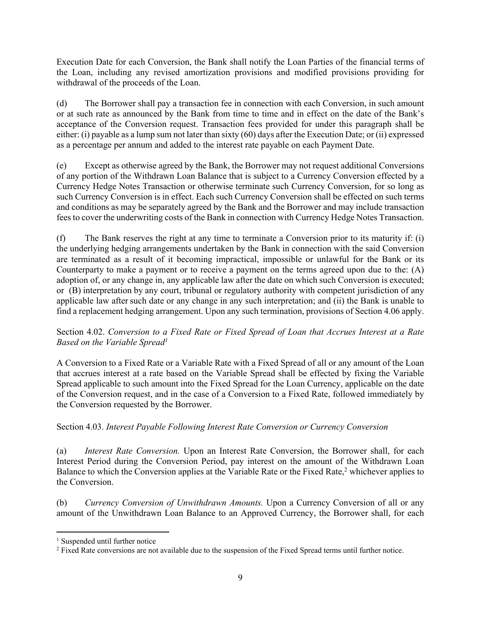Execution Date for each Conversion, the Bank shall notify the Loan Parties of the financial terms of the Loan, including any revised amortization provisions and modified provisions providing for withdrawal of the proceeds of the Loan.

(d) The Borrower shall pay a transaction fee in connection with each Conversion, in such amount or at such rate as announced by the Bank from time to time and in effect on the date of the Bank's acceptance of the Conversion request. Transaction fees provided for under this paragraph shall be either: (i) payable as a lump sum not later than sixty (60) days after the Execution Date; or (ii) expressed as a percentage per annum and added to the interest rate payable on each Payment Date.

(e) Except as otherwise agreed by the Bank, the Borrower may not request additional Conversions of any portion of the Withdrawn Loan Balance that is subject to a Currency Conversion effected by a Currency Hedge Notes Transaction or otherwise terminate such Currency Conversion, for so long as such Currency Conversion is in effect. Each such Currency Conversion shall be effected on such terms and conditions as may be separately agreed by the Bank and the Borrower and may include transaction fees to cover the underwriting costs of the Bank in connection with Currency Hedge Notes Transaction.

(f) The Bank reserves the right at any time to terminate a Conversion prior to its maturity if: (i) the underlying hedging arrangements undertaken by the Bank in connection with the said Conversion are terminated as a result of it becoming impractical, impossible or unlawful for the Bank or its Counterparty to make a payment or to receive a payment on the terms agreed upon due to the: (A) adoption of, or any change in, any applicable law after the date on which such Conversion is executed; or (B) interpretation by any court, tribunal or regulatory authority with competent jurisdiction of any applicable law after such date or any change in any such interpretation; and (ii) the Bank is unable to find a replacement hedging arrangement. Upon any such termination, provisions of Section 4.06 apply.

# <span id="page-13-0"></span>Section 4.02. *Conversion to a Fixed Rate or Fixed Spread of Loan that Accrues Interest at a Rate Based on the Variable Spread<sup>1</sup>*

A Conversion to a Fixed Rate or a Variable Rate with a Fixed Spread of all or any amount of the Loan that accrues interest at a rate based on the Variable Spread shall be effected by fixing the Variable Spread applicable to such amount into the Fixed Spread for the Loan Currency, applicable on the date of the Conversion request, and in the case of a Conversion to a Fixed Rate, followed immediately by the Conversion requested by the Borrower.

# <span id="page-13-1"></span>Section 4.03. *Interest Payable Following Interest Rate Conversion or Currency Conversion*

(a) *Interest Rate Conversion.* Upon an Interest Rate Conversion, the Borrower shall, for each Interest Period during the Conversion Period, pay interest on the amount of the Withdrawn Loan Balance to which the Conversion applies at the Variable Rate or the Fixed Rate,<sup>2</sup> whichever applies to the Conversion.

(b) *Currency Conversion of Unwithdrawn Amounts.* Upon a Currency Conversion of all or any amount of the Unwithdrawn Loan Balance to an Approved Currency, the Borrower shall, for each

<sup>&</sup>lt;sup>1</sup> Suspended until further notice

<sup>&</sup>lt;sup>2</sup> Fixed Rate conversions are not available due to the suspension of the Fixed Spread terms until further notice.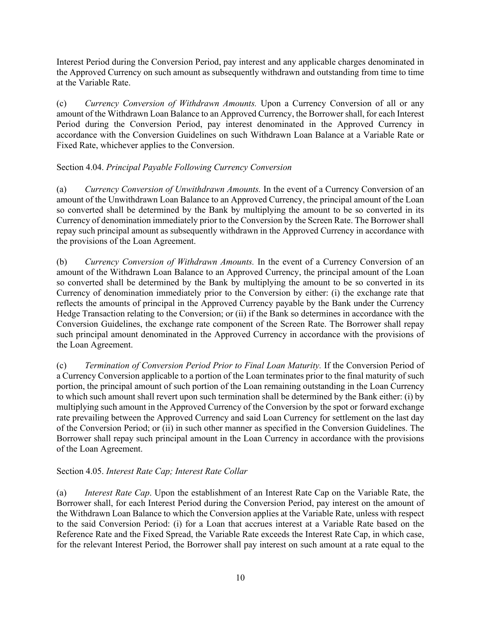Interest Period during the Conversion Period, pay interest and any applicable charges denominated in the Approved Currency on such amount as subsequently withdrawn and outstanding from time to time at the Variable Rate.

(c) *Currency Conversion of Withdrawn Amounts.* Upon a Currency Conversion of all or any amount of the Withdrawn Loan Balance to an Approved Currency, the Borrower shall, for each Interest Period during the Conversion Period, pay interest denominated in the Approved Currency in accordance with the Conversion Guidelines on such Withdrawn Loan Balance at a Variable Rate or Fixed Rate, whichever applies to the Conversion.

# <span id="page-14-0"></span>Section 4.04. *Principal Payable Following Currency Conversion*

(a) *Currency Conversion of Unwithdrawn Amounts.* In the event of a Currency Conversion of an amount of the Unwithdrawn Loan Balance to an Approved Currency, the principal amount of the Loan so converted shall be determined by the Bank by multiplying the amount to be so converted in its Currency of denomination immediately prior to the Conversion by the Screen Rate. The Borrower shall repay such principal amount as subsequently withdrawn in the Approved Currency in accordance with the provisions of the Loan Agreement.

(b) *Currency Conversion of Withdrawn Amounts.* In the event of a Currency Conversion of an amount of the Withdrawn Loan Balance to an Approved Currency, the principal amount of the Loan so converted shall be determined by the Bank by multiplying the amount to be so converted in its Currency of denomination immediately prior to the Conversion by either: (i) the exchange rate that reflects the amounts of principal in the Approved Currency payable by the Bank under the Currency Hedge Transaction relating to the Conversion; or (ii) if the Bank so determines in accordance with the Conversion Guidelines, the exchange rate component of the Screen Rate. The Borrower shall repay such principal amount denominated in the Approved Currency in accordance with the provisions of the Loan Agreement.

(c) *Termination of Conversion Period Prior to Final Loan Maturity.* If the Conversion Period of a Currency Conversion applicable to a portion of the Loan terminates prior to the final maturity of such portion, the principal amount of such portion of the Loan remaining outstanding in the Loan Currency to which such amount shall revert upon such termination shall be determined by the Bank either: (i) by multiplying such amount in the Approved Currency of the Conversion by the spot or forward exchange rate prevailing between the Approved Currency and said Loan Currency for settlement on the last day of the Conversion Period; or (ii) in such other manner as specified in the Conversion Guidelines. The Borrower shall repay such principal amount in the Loan Currency in accordance with the provisions of the Loan Agreement.

# <span id="page-14-1"></span>Section 4.05. *Interest Rate Cap; Interest Rate Collar*

(a) *Interest Rate Cap*. Upon the establishment of an Interest Rate Cap on the Variable Rate, the Borrower shall, for each Interest Period during the Conversion Period, pay interest on the amount of the Withdrawn Loan Balance to which the Conversion applies at the Variable Rate, unless with respect to the said Conversion Period: (i) for a Loan that accrues interest at a Variable Rate based on the Reference Rate and the Fixed Spread, the Variable Rate exceeds the Interest Rate Cap, in which case, for the relevant Interest Period, the Borrower shall pay interest on such amount at a rate equal to the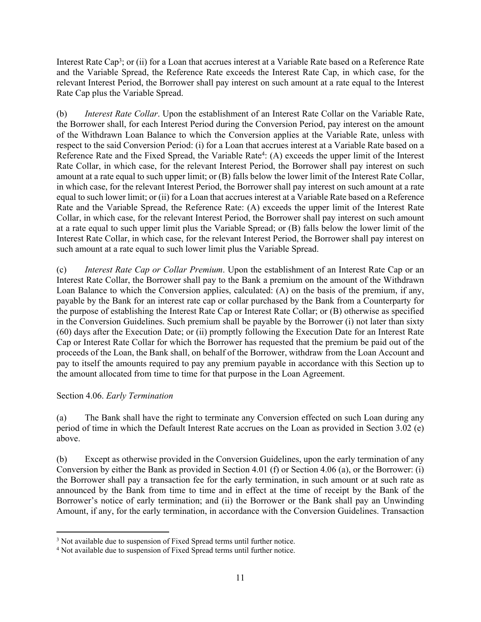Interest Rate Cap<sup>3</sup>; or (ii) for a Loan that accrues interest at a Variable Rate based on a Reference Rate and the Variable Spread, the Reference Rate exceeds the Interest Rate Cap, in which case, for the relevant Interest Period, the Borrower shall pay interest on such amount at a rate equal to the Interest Rate Cap plus the Variable Spread.

(b) *Interest Rate Collar*. Upon the establishment of an Interest Rate Collar on the Variable Rate, the Borrower shall, for each Interest Period during the Conversion Period, pay interest on the amount of the Withdrawn Loan Balance to which the Conversion applies at the Variable Rate, unless with respect to the said Conversion Period: (i) for a Loan that accrues interest at a Variable Rate based on a Reference Rate and the Fixed Spread, the Variable Rate<sup>4</sup>: (A) exceeds the upper limit of the Interest Rate Collar, in which case, for the relevant Interest Period, the Borrower shall pay interest on such amount at a rate equal to such upper limit; or (B) falls below the lower limit of the Interest Rate Collar, in which case, for the relevant Interest Period, the Borrower shall pay interest on such amount at a rate equal to such lower limit; or (ii) for a Loan that accrues interest at a Variable Rate based on a Reference Rate and the Variable Spread, the Reference Rate: (A) exceeds the upper limit of the Interest Rate Collar, in which case, for the relevant Interest Period, the Borrower shall pay interest on such amount at a rate equal to such upper limit plus the Variable Spread; or (B) falls below the lower limit of the Interest Rate Collar, in which case, for the relevant Interest Period, the Borrower shall pay interest on such amount at a rate equal to such lower limit plus the Variable Spread.

(c) *Interest Rate Cap or Collar Premium*. Upon the establishment of an Interest Rate Cap or an Interest Rate Collar, the Borrower shall pay to the Bank a premium on the amount of the Withdrawn Loan Balance to which the Conversion applies, calculated: (A) on the basis of the premium, if any, payable by the Bank for an interest rate cap or collar purchased by the Bank from a Counterparty for the purpose of establishing the Interest Rate Cap or Interest Rate Collar; or (B) otherwise as specified in the Conversion Guidelines. Such premium shall be payable by the Borrower (i) not later than sixty (60) days after the Execution Date; or (ii) promptly following the Execution Date for an Interest Rate Cap or Interest Rate Collar for which the Borrower has requested that the premium be paid out of the proceeds of the Loan, the Bank shall, on behalf of the Borrower, withdraw from the Loan Account and pay to itself the amounts required to pay any premium payable in accordance with this Section up to the amount allocated from time to time for that purpose in the Loan Agreement.

# <span id="page-15-0"></span>Section 4.06. *Early Termination*

(a) The Bank shall have the right to terminate any Conversion effected on such Loan during any period of time in which the Default Interest Rate accrues on the Loan as provided in Section 3.02 (e) above.

(b) Except as otherwise provided in the Conversion Guidelines, upon the early termination of any Conversion by either the Bank as provided in Section 4.01 (f) or Section 4.06 (a), or the Borrower: (i) the Borrower shall pay a transaction fee for the early termination, in such amount or at such rate as announced by the Bank from time to time and in effect at the time of receipt by the Bank of the Borrower's notice of early termination; and (ii) the Borrower or the Bank shall pay an Unwinding Amount, if any, for the early termination, in accordance with the Conversion Guidelines. Transaction

<sup>&</sup>lt;sup>3</sup> Not available due to suspension of Fixed Spread terms until further notice.

<sup>&</sup>lt;sup>4</sup> Not available due to suspension of Fixed Spread terms until further notice.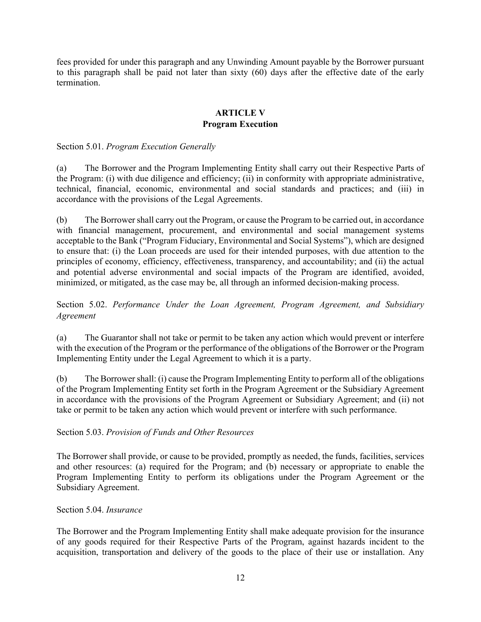fees provided for under this paragraph and any Unwinding Amount payable by the Borrower pursuant to this paragraph shall be paid not later than sixty (60) days after the effective date of the early termination.

# <span id="page-16-0"></span>**ARTICLE V Program Execution**

<span id="page-16-1"></span>Section 5.01. *Program Execution Generally* 

(a) The Borrower and the Program Implementing Entity shall carry out their Respective Parts of the Program: (i) with due diligence and efficiency; (ii) in conformity with appropriate administrative, technical, financial, economic, environmental and social standards and practices; and (iii) in accordance with the provisions of the Legal Agreements.

(b) The Borrower shall carry out the Program, or cause the Program to be carried out, in accordance with financial management, procurement, and environmental and social management systems acceptable to the Bank ("Program Fiduciary, Environmental and Social Systems"), which are designed to ensure that: (i) the Loan proceeds are used for their intended purposes, with due attention to the principles of economy, efficiency, effectiveness, transparency, and accountability; and (ii) the actual and potential adverse environmental and social impacts of the Program are identified, avoided, minimized, or mitigated, as the case may be, all through an informed decision-making process.

<span id="page-16-2"></span>Section 5.02. *Performance Under the Loan Agreement, Program Agreement, and Subsidiary Agreement* 

(a) The Guarantor shall not take or permit to be taken any action which would prevent or interfere with the execution of the Program or the performance of the obligations of the Borrower or the Program Implementing Entity under the Legal Agreement to which it is a party.

(b) The Borrower shall: (i) cause the Program Implementing Entity to perform all of the obligations of the Program Implementing Entity set forth in the Program Agreement or the Subsidiary Agreement in accordance with the provisions of the Program Agreement or Subsidiary Agreement; and (ii) not take or permit to be taken any action which would prevent or interfere with such performance.

<span id="page-16-3"></span>Section 5.03. *Provision of Funds and Other Resources*

The Borrower shall provide, or cause to be provided, promptly as needed, the funds, facilities, services and other resources: (a) required for the Program; and (b) necessary or appropriate to enable the Program Implementing Entity to perform its obligations under the Program Agreement or the Subsidiary Agreement.

# <span id="page-16-4"></span>Section 5.04. *Insurance*

The Borrower and the Program Implementing Entity shall make adequate provision for the insurance of any goods required for their Respective Parts of the Program, against hazards incident to the acquisition, transportation and delivery of the goods to the place of their use or installation. Any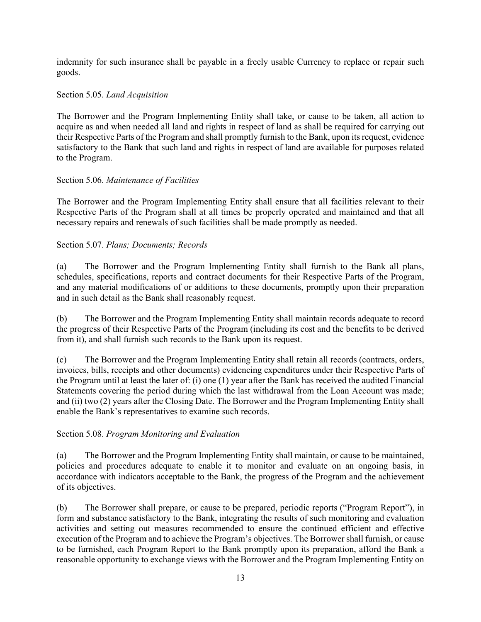indemnity for such insurance shall be payable in a freely usable Currency to replace or repair such goods.

# <span id="page-17-0"></span>Section 5.05. *Land Acquisition*

The Borrower and the Program Implementing Entity shall take, or cause to be taken, all action to acquire as and when needed all land and rights in respect of land as shall be required for carrying out their Respective Parts of the Program and shall promptly furnish to the Bank, upon its request, evidence satisfactory to the Bank that such land and rights in respect of land are available for purposes related to the Program.

# <span id="page-17-1"></span>Section 5.06. *Maintenance of Facilities*

The Borrower and the Program Implementing Entity shall ensure that all facilities relevant to their Respective Parts of the Program shall at all times be properly operated and maintained and that all necessary repairs and renewals of such facilities shall be made promptly as needed.

# <span id="page-17-2"></span>Section 5.07. *Plans; Documents; Records*

(a) The Borrower and the Program Implementing Entity shall furnish to the Bank all plans, schedules, specifications, reports and contract documents for their Respective Parts of the Program, and any material modifications of or additions to these documents, promptly upon their preparation and in such detail as the Bank shall reasonably request.

(b) The Borrower and the Program Implementing Entity shall maintain records adequate to record the progress of their Respective Parts of the Program (including its cost and the benefits to be derived from it), and shall furnish such records to the Bank upon its request.

(c) The Borrower and the Program Implementing Entity shall retain all records (contracts, orders, invoices, bills, receipts and other documents) evidencing expenditures under their Respective Parts of the Program until at least the later of: (i) one (1) year after the Bank has received the audited Financial Statements covering the period during which the last withdrawal from the Loan Account was made; and (ii) two (2) years after the Closing Date. The Borrower and the Program Implementing Entity shall enable the Bank's representatives to examine such records.

# <span id="page-17-3"></span>Section 5.08. *Program Monitoring and Evaluation*

(a) The Borrower and the Program Implementing Entity shall maintain, or cause to be maintained, policies and procedures adequate to enable it to monitor and evaluate on an ongoing basis, in accordance with indicators acceptable to the Bank, the progress of the Program and the achievement of its objectives.

(b) The Borrower shall prepare, or cause to be prepared, periodic reports ("Program Report"), in form and substance satisfactory to the Bank, integrating the results of such monitoring and evaluation activities and setting out measures recommended to ensure the continued efficient and effective execution of the Program and to achieve the Program's objectives. The Borrower shall furnish, or cause to be furnished, each Program Report to the Bank promptly upon its preparation, afford the Bank a reasonable opportunity to exchange views with the Borrower and the Program Implementing Entity on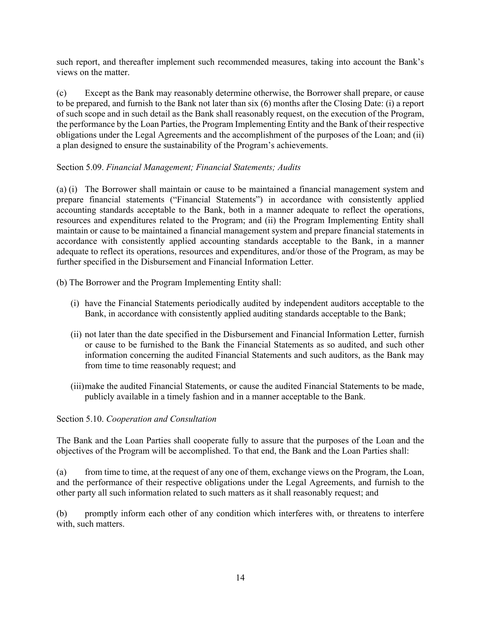such report, and thereafter implement such recommended measures, taking into account the Bank's views on the matter.

(c) Except as the Bank may reasonably determine otherwise, the Borrower shall prepare, or cause to be prepared, and furnish to the Bank not later than six (6) months after the Closing Date: (i) a report of such scope and in such detail as the Bank shall reasonably request, on the execution of the Program, the performance by the Loan Parties, the Program Implementing Entity and the Bank of their respective obligations under the Legal Agreements and the accomplishment of the purposes of the Loan; and (ii) a plan designed to ensure the sustainability of the Program's achievements.

# <span id="page-18-0"></span>Section 5.09. *Financial Management; Financial Statements; Audits*

(a) (i) The Borrower shall maintain or cause to be maintained a financial management system and prepare financial statements ("Financial Statements") in accordance with consistently applied accounting standards acceptable to the Bank, both in a manner adequate to reflect the operations, resources and expenditures related to the Program; and (ii) the Program Implementing Entity shall maintain or cause to be maintained a financial management system and prepare financial statements in accordance with consistently applied accounting standards acceptable to the Bank, in a manner adequate to reflect its operations, resources and expenditures, and/or those of the Program, as may be further specified in the Disbursement and Financial Information Letter.

(b) The Borrower and the Program Implementing Entity shall:

- (i) have the Financial Statements periodically audited by independent auditors acceptable to the Bank, in accordance with consistently applied auditing standards acceptable to the Bank;
- (ii) not later than the date specified in the Disbursement and Financial Information Letter, furnish or cause to be furnished to the Bank the Financial Statements as so audited, and such other information concerning the audited Financial Statements and such auditors, as the Bank may from time to time reasonably request; and
- (iii)make the audited Financial Statements, or cause the audited Financial Statements to be made, publicly available in a timely fashion and in a manner acceptable to the Bank.

# <span id="page-18-1"></span>Section 5.10. *Cooperation and Consultation*

The Bank and the Loan Parties shall cooperate fully to assure that the purposes of the Loan and the objectives of the Program will be accomplished. To that end, the Bank and the Loan Parties shall:

(a) from time to time, at the request of any one of them, exchange views on the Program, the Loan, and the performance of their respective obligations under the Legal Agreements, and furnish to the other party all such information related to such matters as it shall reasonably request; and

(b) promptly inform each other of any condition which interferes with, or threatens to interfere with, such matters.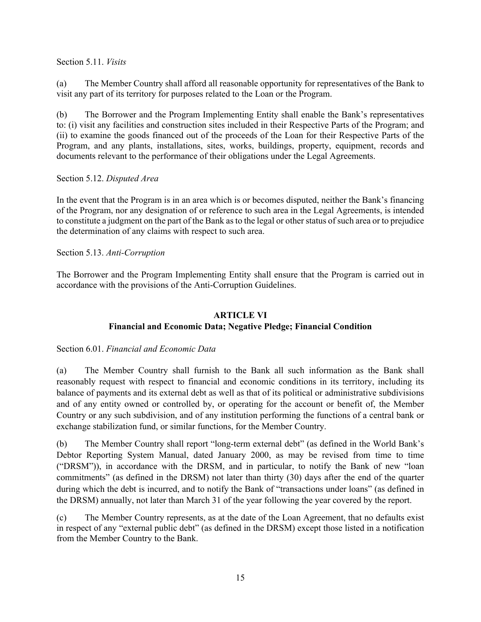<span id="page-19-0"></span>Section 5.11. *Visits*

(a) The Member Country shall afford all reasonable opportunity for representatives of the Bank to visit any part of its territory for purposes related to the Loan or the Program.

(b) The Borrower and the Program Implementing Entity shall enable the Bank's representatives to: (i) visit any facilities and construction sites included in their Respective Parts of the Program; and (ii) to examine the goods financed out of the proceeds of the Loan for their Respective Parts of the Program, and any plants, installations, sites, works, buildings, property, equipment, records and documents relevant to the performance of their obligations under the Legal Agreements.

# <span id="page-19-1"></span>Section 5.12. *Disputed Area*

In the event that the Program is in an area which is or becomes disputed, neither the Bank's financing of the Program, nor any designation of or reference to such area in the Legal Agreements, is intended to constitute a judgment on the part of the Bank as to the legal or other status of such area or to prejudice the determination of any claims with respect to such area.

<span id="page-19-2"></span>Section 5.13. *Anti-Corruption*

The Borrower and the Program Implementing Entity shall ensure that the Program is carried out in accordance with the provisions of the Anti-Corruption Guidelines.

# <span id="page-19-3"></span>**ARTICLE VI Financial and Economic Data; Negative Pledge; Financial Condition**

# <span id="page-19-4"></span>Section 6.01. *Financial and Economic Data*

(a) The Member Country shall furnish to the Bank all such information as the Bank shall reasonably request with respect to financial and economic conditions in its territory, including its balance of payments and its external debt as well as that of its political or administrative subdivisions and of any entity owned or controlled by, or operating for the account or benefit of, the Member Country or any such subdivision, and of any institution performing the functions of a central bank or exchange stabilization fund, or similar functions, for the Member Country.

(b) The Member Country shall report "long-term external debt" (as defined in the World Bank's Debtor Reporting System Manual, dated January 2000, as may be revised from time to time ("DRSM")), in accordance with the DRSM, and in particular, to notify the Bank of new "loan commitments" (as defined in the DRSM) not later than thirty (30) days after the end of the quarter during which the debt is incurred, and to notify the Bank of "transactions under loans" (as defined in the DRSM) annually, not later than March 31 of the year following the year covered by the report.

(c) The Member Country represents, as at the date of the Loan Agreement, that no defaults exist in respect of any "external public debt" (as defined in the DRSM) except those listed in a notification from the Member Country to the Bank.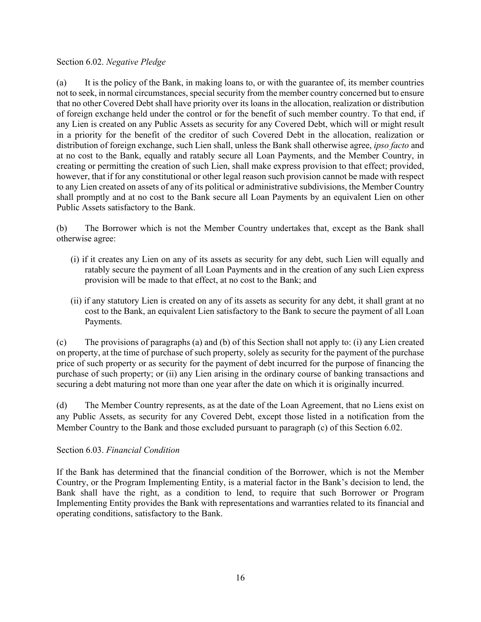#### <span id="page-20-0"></span>Section 6.02. *Negative Pledge*

(a) It is the policy of the Bank, in making loans to, or with the guarantee of, its member countries not to seek, in normal circumstances, special security from the member country concerned but to ensure that no other Covered Debt shall have priority over its loans in the allocation, realization or distribution of foreign exchange held under the control or for the benefit of such member country. To that end, if any Lien is created on any Public Assets as security for any Covered Debt, which will or might result in a priority for the benefit of the creditor of such Covered Debt in the allocation, realization or distribution of foreign exchange, such Lien shall, unless the Bank shall otherwise agree, *ipso facto* and at no cost to the Bank, equally and ratably secure all Loan Payments, and the Member Country, in creating or permitting the creation of such Lien, shall make express provision to that effect; provided, however, that if for any constitutional or other legal reason such provision cannot be made with respect to any Lien created on assets of any of its political or administrative subdivisions, the Member Country shall promptly and at no cost to the Bank secure all Loan Payments by an equivalent Lien on other Public Assets satisfactory to the Bank.

(b) The Borrower which is not the Member Country undertakes that, except as the Bank shall otherwise agree:

- (i) if it creates any Lien on any of its assets as security for any debt, such Lien will equally and ratably secure the payment of all Loan Payments and in the creation of any such Lien express provision will be made to that effect, at no cost to the Bank; and
- (ii) if any statutory Lien is created on any of its assets as security for any debt, it shall grant at no cost to the Bank, an equivalent Lien satisfactory to the Bank to secure the payment of all Loan Payments.

(c) The provisions of paragraphs (a) and (b) of this Section shall not apply to: (i) any Lien created on property, at the time of purchase of such property, solely as security for the payment of the purchase price of such property or as security for the payment of debt incurred for the purpose of financing the purchase of such property; or (ii) any Lien arising in the ordinary course of banking transactions and securing a debt maturing not more than one year after the date on which it is originally incurred.

(d) The Member Country represents, as at the date of the Loan Agreement, that no Liens exist on any Public Assets, as security for any Covered Debt, except those listed in a notification from the Member Country to the Bank and those excluded pursuant to paragraph (c) of this Section 6.02.

# <span id="page-20-1"></span>Section 6.03. *Financial Condition*

If the Bank has determined that the financial condition of the Borrower, which is not the Member Country, or the Program Implementing Entity, is a material factor in the Bank's decision to lend, the Bank shall have the right, as a condition to lend, to require that such Borrower or Program Implementing Entity provides the Bank with representations and warranties related to its financial and operating conditions, satisfactory to the Bank.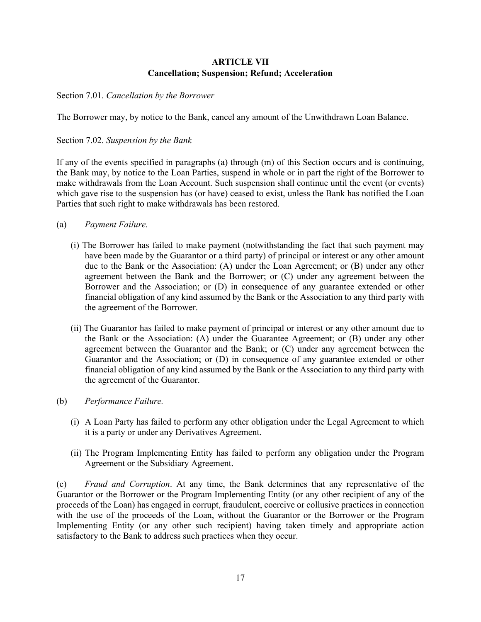# <span id="page-21-0"></span>**ARTICLE VII Cancellation; Suspension; Refund; Acceleration**

<span id="page-21-1"></span>Section 7.01. *Cancellation by the Borrower*

<span id="page-21-2"></span>The Borrower may, by notice to the Bank, cancel any amount of the Unwithdrawn Loan Balance.

Section 7.02. *Suspension by the Bank*

If any of the events specified in paragraphs (a) through (m) of this Section occurs and is continuing, the Bank may, by notice to the Loan Parties, suspend in whole or in part the right of the Borrower to make withdrawals from the Loan Account. Such suspension shall continue until the event (or events) which gave rise to the suspension has (or have) ceased to exist, unless the Bank has notified the Loan Parties that such right to make withdrawals has been restored.

- (a) *Payment Failure.* 
	- (i) The Borrower has failed to make payment (notwithstanding the fact that such payment may have been made by the Guarantor or a third party) of principal or interest or any other amount due to the Bank or the Association: (A) under the Loan Agreement; or (B) under any other agreement between the Bank and the Borrower; or (C) under any agreement between the Borrower and the Association; or (D) in consequence of any guarantee extended or other financial obligation of any kind assumed by the Bank or the Association to any third party with the agreement of the Borrower.
	- (ii) The Guarantor has failed to make payment of principal or interest or any other amount due to the Bank or the Association: (A) under the Guarantee Agreement; or (B) under any other agreement between the Guarantor and the Bank; or (C) under any agreement between the Guarantor and the Association; or (D) in consequence of any guarantee extended or other financial obligation of any kind assumed by the Bank or the Association to any third party with the agreement of the Guarantor.
- (b) *Performance Failure.* 
	- (i) A Loan Party has failed to perform any other obligation under the Legal Agreement to which it is a party or under any Derivatives Agreement.
	- (ii) The Program Implementing Entity has failed to perform any obligation under the Program Agreement or the Subsidiary Agreement.

(c) *Fraud and Corruption*. At any time, the Bank determines that any representative of the Guarantor or the Borrower or the Program Implementing Entity (or any other recipient of any of the proceeds of the Loan) has engaged in corrupt, fraudulent, coercive or collusive practices in connection with the use of the proceeds of the Loan, without the Guarantor or the Borrower or the Program Implementing Entity (or any other such recipient) having taken timely and appropriate action satisfactory to the Bank to address such practices when they occur.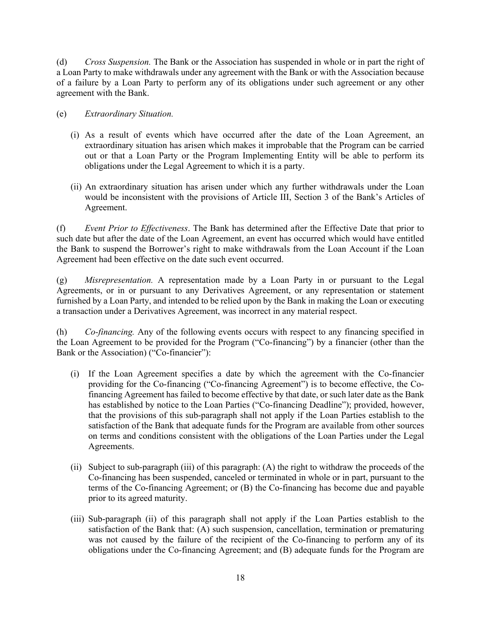(d) *Cross Suspension.* The Bank or the Association has suspended in whole or in part the right of a Loan Party to make withdrawals under any agreement with the Bank or with the Association because of a failure by a Loan Party to perform any of its obligations under such agreement or any other agreement with the Bank.

# (e) *Extraordinary Situation.*

- (i) As a result of events which have occurred after the date of the Loan Agreement, an extraordinary situation has arisen which makes it improbable that the Program can be carried out or that a Loan Party or the Program Implementing Entity will be able to perform its obligations under the Legal Agreement to which it is a party.
- (ii) An extraordinary situation has arisen under which any further withdrawals under the Loan would be inconsistent with the provisions of Article III, Section 3 of the Bank's Articles of Agreement.

(f) *Event Prior to Effectiveness*. The Bank has determined after the Effective Date that prior to such date but after the date of the Loan Agreement, an event has occurred which would have entitled the Bank to suspend the Borrower's right to make withdrawals from the Loan Account if the Loan Agreement had been effective on the date such event occurred.

(g) *Misrepresentation.* A representation made by a Loan Party in or pursuant to the Legal Agreements, or in or pursuant to any Derivatives Agreement, or any representation or statement furnished by a Loan Party, and intended to be relied upon by the Bank in making the Loan or executing a transaction under a Derivatives Agreement, was incorrect in any material respect.

(h) *Co-financing.* Any of the following events occurs with respect to any financing specified in the Loan Agreement to be provided for the Program ("Co-financing") by a financier (other than the Bank or the Association) ("Co-financier"):

- (i) If the Loan Agreement specifies a date by which the agreement with the Co-financier providing for the Co-financing ("Co-financing Agreement") is to become effective, the Cofinancing Agreement has failed to become effective by that date, or such later date as the Bank has established by notice to the Loan Parties ("Co-financing Deadline"); provided, however, that the provisions of this sub-paragraph shall not apply if the Loan Parties establish to the satisfaction of the Bank that adequate funds for the Program are available from other sources on terms and conditions consistent with the obligations of the Loan Parties under the Legal Agreements.
- (ii) Subject to sub-paragraph (iii) of this paragraph: (A) the right to withdraw the proceeds of the Co-financing has been suspended, canceled or terminated in whole or in part, pursuant to the terms of the Co-financing Agreement; or (B) the Co-financing has become due and payable prior to its agreed maturity.
- (iii) Sub-paragraph (ii) of this paragraph shall not apply if the Loan Parties establish to the satisfaction of the Bank that: (A) such suspension, cancellation, termination or prematuring was not caused by the failure of the recipient of the Co-financing to perform any of its obligations under the Co-financing Agreement; and (B) adequate funds for the Program are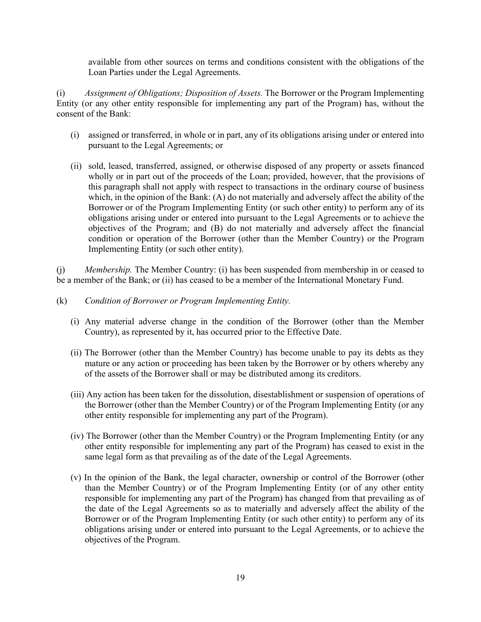available from other sources on terms and conditions consistent with the obligations of the Loan Parties under the Legal Agreements.

(i) *Assignment of Obligations; Disposition of Assets.* The Borrower or the Program Implementing Entity (or any other entity responsible for implementing any part of the Program) has, without the consent of the Bank:

- (i) assigned or transferred, in whole or in part, any of its obligations arising under or entered into pursuant to the Legal Agreements; or
- (ii) sold, leased, transferred, assigned, or otherwise disposed of any property or assets financed wholly or in part out of the proceeds of the Loan; provided, however, that the provisions of this paragraph shall not apply with respect to transactions in the ordinary course of business which, in the opinion of the Bank: (A) do not materially and adversely affect the ability of the Borrower or of the Program Implementing Entity (or such other entity) to perform any of its obligations arising under or entered into pursuant to the Legal Agreements or to achieve the objectives of the Program; and (B) do not materially and adversely affect the financial condition or operation of the Borrower (other than the Member Country) or the Program Implementing Entity (or such other entity).

(j) *Membership.* The Member Country: (i) has been suspended from membership in or ceased to be a member of the Bank; or (ii) has ceased to be a member of the International Monetary Fund.

- (k) *Condition of Borrower or Program Implementing Entity.* 
	- (i) Any material adverse change in the condition of the Borrower (other than the Member Country), as represented by it, has occurred prior to the Effective Date.
	- (ii) The Borrower (other than the Member Country) has become unable to pay its debts as they mature or any action or proceeding has been taken by the Borrower or by others whereby any of the assets of the Borrower shall or may be distributed among its creditors.
	- (iii) Any action has been taken for the dissolution, disestablishment or suspension of operations of the Borrower (other than the Member Country) or of the Program Implementing Entity (or any other entity responsible for implementing any part of the Program).
	- (iv) The Borrower (other than the Member Country) or the Program Implementing Entity (or any other entity responsible for implementing any part of the Program) has ceased to exist in the same legal form as that prevailing as of the date of the Legal Agreements.
	- (v) In the opinion of the Bank, the legal character, ownership or control of the Borrower (other than the Member Country) or of the Program Implementing Entity (or of any other entity responsible for implementing any part of the Program) has changed from that prevailing as of the date of the Legal Agreements so as to materially and adversely affect the ability of the Borrower or of the Program Implementing Entity (or such other entity) to perform any of its obligations arising under or entered into pursuant to the Legal Agreements, or to achieve the objectives of the Program.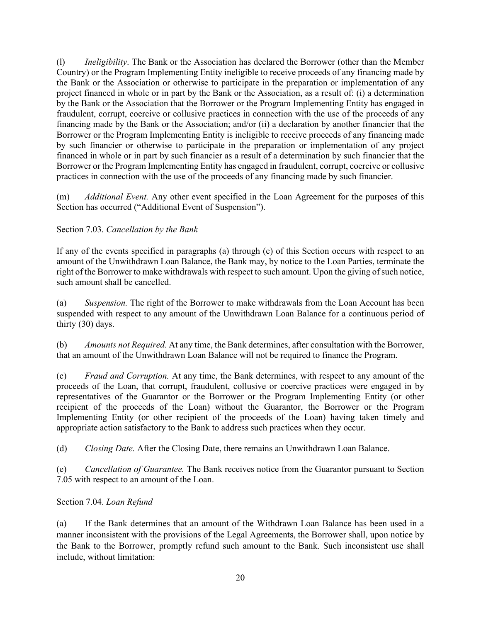(l) *Ineligibility*. The Bank or the Association has declared the Borrower (other than the Member Country) or the Program Implementing Entity ineligible to receive proceeds of any financing made by the Bank or the Association or otherwise to participate in the preparation or implementation of any project financed in whole or in part by the Bank or the Association, as a result of: (i) a determination by the Bank or the Association that the Borrower or the Program Implementing Entity has engaged in fraudulent, corrupt, coercive or collusive practices in connection with the use of the proceeds of any financing made by the Bank or the Association; and/or (ii) a declaration by another financier that the Borrower or the Program Implementing Entity is ineligible to receive proceeds of any financing made by such financier or otherwise to participate in the preparation or implementation of any project financed in whole or in part by such financier as a result of a determination by such financier that the Borrower or the Program Implementing Entity has engaged in fraudulent, corrupt, coercive or collusive practices in connection with the use of the proceeds of any financing made by such financier.

(m) *Additional Event.* Any other event specified in the Loan Agreement for the purposes of this Section has occurred ("Additional Event of Suspension").

# <span id="page-24-0"></span>Section 7.03. *Cancellation by the Bank*

If any of the events specified in paragraphs (a) through (e) of this Section occurs with respect to an amount of the Unwithdrawn Loan Balance, the Bank may, by notice to the Loan Parties, terminate the right of the Borrower to make withdrawals with respect to such amount. Upon the giving of such notice, such amount shall be cancelled.

(a) *Suspension.* The right of the Borrower to make withdrawals from the Loan Account has been suspended with respect to any amount of the Unwithdrawn Loan Balance for a continuous period of thirty (30) days.

(b) *Amounts not Required.* At any time, the Bank determines, after consultation with the Borrower, that an amount of the Unwithdrawn Loan Balance will not be required to finance the Program.

(c) *Fraud and Corruption.* At any time, the Bank determines, with respect to any amount of the proceeds of the Loan, that corrupt, fraudulent, collusive or coercive practices were engaged in by representatives of the Guarantor or the Borrower or the Program Implementing Entity (or other recipient of the proceeds of the Loan) without the Guarantor, the Borrower or the Program Implementing Entity (or other recipient of the proceeds of the Loan) having taken timely and appropriate action satisfactory to the Bank to address such practices when they occur.

(d) *Closing Date.* After the Closing Date, there remains an Unwithdrawn Loan Balance.

(e) *Cancellation of Guarantee.* The Bank receives notice from the Guarantor pursuant to Section 7.05 with respect to an amount of the Loan.

# <span id="page-24-1"></span>Section 7.04. *Loan Refund*

(a) If the Bank determines that an amount of the Withdrawn Loan Balance has been used in a manner inconsistent with the provisions of the Legal Agreements, the Borrower shall, upon notice by the Bank to the Borrower, promptly refund such amount to the Bank. Such inconsistent use shall include, without limitation: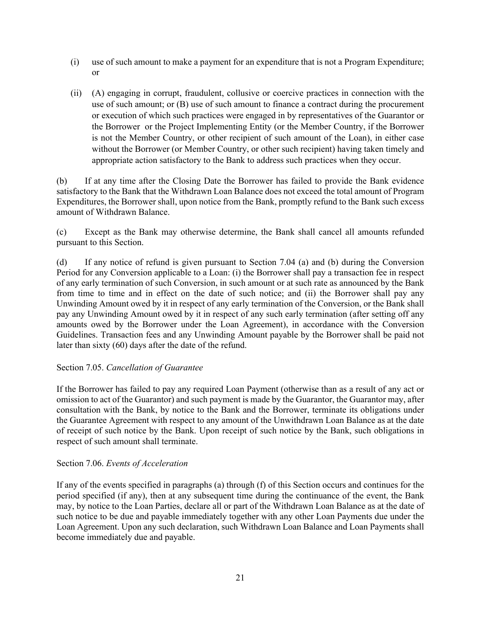- (i) use of such amount to make a payment for an expenditure that is not a Program Expenditure; or
- (ii) (A) engaging in corrupt, fraudulent, collusive or coercive practices in connection with the use of such amount; or (B) use of such amount to finance a contract during the procurement or execution of which such practices were engaged in by representatives of the Guarantor or the Borrower or the Project Implementing Entity (or the Member Country, if the Borrower is not the Member Country, or other recipient of such amount of the Loan), in either case without the Borrower (or Member Country, or other such recipient) having taken timely and appropriate action satisfactory to the Bank to address such practices when they occur.

(b) If at any time after the Closing Date the Borrower has failed to provide the Bank evidence satisfactory to the Bank that the Withdrawn Loan Balance does not exceed the total amount of Program Expenditures, the Borrower shall, upon notice from the Bank, promptly refund to the Bank such excess amount of Withdrawn Balance.

(c) Except as the Bank may otherwise determine, the Bank shall cancel all amounts refunded pursuant to this Section.

(d) If any notice of refund is given pursuant to Section 7.04 (a) and (b) during the Conversion Period for any Conversion applicable to a Loan: (i) the Borrower shall pay a transaction fee in respect of any early termination of such Conversion, in such amount or at such rate as announced by the Bank from time to time and in effect on the date of such notice; and (ii) the Borrower shall pay any Unwinding Amount owed by it in respect of any early termination of the Conversion, or the Bank shall pay any Unwinding Amount owed by it in respect of any such early termination (after setting off any amounts owed by the Borrower under the Loan Agreement), in accordance with the Conversion Guidelines. Transaction fees and any Unwinding Amount payable by the Borrower shall be paid not later than sixty (60) days after the date of the refund.

# <span id="page-25-0"></span>Section 7.05. *Cancellation of Guarantee*

If the Borrower has failed to pay any required Loan Payment (otherwise than as a result of any act or omission to act of the Guarantor) and such payment is made by the Guarantor, the Guarantor may, after consultation with the Bank, by notice to the Bank and the Borrower, terminate its obligations under the Guarantee Agreement with respect to any amount of the Unwithdrawn Loan Balance as at the date of receipt of such notice by the Bank. Upon receipt of such notice by the Bank, such obligations in respect of such amount shall terminate.

#### <span id="page-25-1"></span>Section 7.06. *Events of Acceleration*

If any of the events specified in paragraphs (a) through (f) of this Section occurs and continues for the period specified (if any), then at any subsequent time during the continuance of the event, the Bank may, by notice to the Loan Parties, declare all or part of the Withdrawn Loan Balance as at the date of such notice to be due and payable immediately together with any other Loan Payments due under the Loan Agreement. Upon any such declaration, such Withdrawn Loan Balance and Loan Payments shall become immediately due and payable.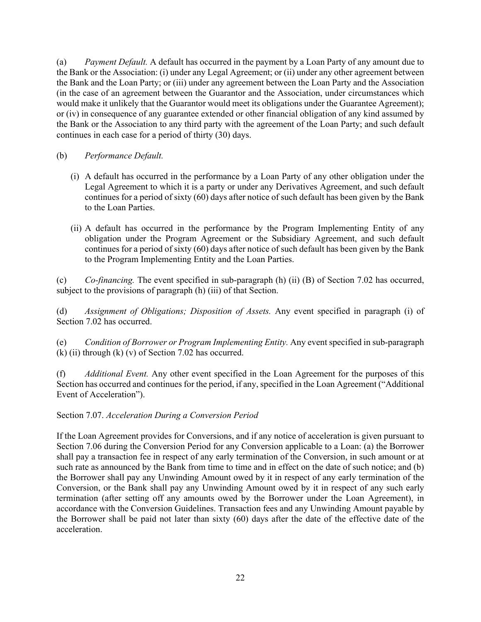(a) *Payment Default.* A default has occurred in the payment by a Loan Party of any amount due to the Bank or the Association: (i) under any Legal Agreement; or (ii) under any other agreement between the Bank and the Loan Party; or (iii) under any agreement between the Loan Party and the Association (in the case of an agreement between the Guarantor and the Association, under circumstances which would make it unlikely that the Guarantor would meet its obligations under the Guarantee Agreement); or (iv) in consequence of any guarantee extended or other financial obligation of any kind assumed by the Bank or the Association to any third party with the agreement of the Loan Party; and such default continues in each case for a period of thirty (30) days.

- (b) *Performance Default.* 
	- (i) A default has occurred in the performance by a Loan Party of any other obligation under the Legal Agreement to which it is a party or under any Derivatives Agreement, and such default continues for a period of sixty (60) days after notice of such default has been given by the Bank to the Loan Parties.
	- (ii) A default has occurred in the performance by the Program Implementing Entity of any obligation under the Program Agreement or the Subsidiary Agreement, and such default continues for a period of sixty (60) days after notice of such default has been given by the Bank to the Program Implementing Entity and the Loan Parties.

(c) *Co-financing.* The event specified in sub-paragraph (h) (ii) (B) of Section 7.02 has occurred, subject to the provisions of paragraph (h) (iii) of that Section.

(d) *Assignment of Obligations; Disposition of Assets.* Any event specified in paragraph (i) of Section 7.02 has occurred.

(e) *Condition of Borrower or Program Implementing Entity.* Any event specified in sub-paragraph  $(k)$  (ii) through  $(k)$  (v) of Section 7.02 has occurred.

(f) *Additional Event.* Any other event specified in the Loan Agreement for the purposes of this Section has occurred and continues for the period, if any, specified in the Loan Agreement ("Additional Event of Acceleration").

<span id="page-26-0"></span>Section 7.07. *Acceleration During a Conversion Period*

<span id="page-26-1"></span>If the Loan Agreement provides for Conversions, and if any notice of acceleration is given pursuant to Section 7.06 during the Conversion Period for any Conversion applicable to a Loan: (a) the Borrower shall pay a transaction fee in respect of any early termination of the Conversion, in such amount or at such rate as announced by the Bank from time to time and in effect on the date of such notice; and (b) the Borrower shall pay any Unwinding Amount owed by it in respect of any early termination of the Conversion, or the Bank shall pay any Unwinding Amount owed by it in respect of any such early termination (after setting off any amounts owed by the Borrower under the Loan Agreement), in accordance with the Conversion Guidelines. Transaction fees and any Unwinding Amount payable by the Borrower shall be paid not later than sixty (60) days after the date of the effective date of the acceleration.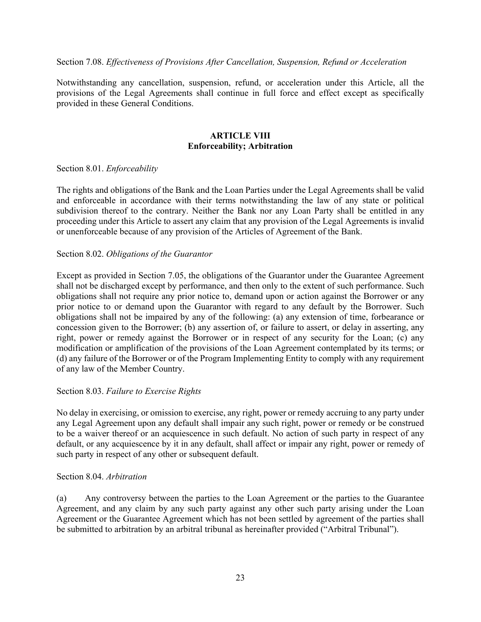#### Section 7.08. *Effectiveness of Provisions After Cancellation, Suspension, Refund or Acceleration*

Notwithstanding any cancellation, suspension, refund, or acceleration under this Article, all the provisions of the Legal Agreements shall continue in full force and effect except as specifically provided in these General Conditions.

# <span id="page-27-0"></span>**ARTICLE VIII Enforceability; Arbitration**

#### <span id="page-27-1"></span>Section 8.01. *Enforceability*

The rights and obligations of the Bank and the Loan Parties under the Legal Agreements shall be valid and enforceable in accordance with their terms notwithstanding the law of any state or political subdivision thereof to the contrary. Neither the Bank nor any Loan Party shall be entitled in any proceeding under this Article to assert any claim that any provision of the Legal Agreements is invalid or unenforceable because of any provision of the Articles of Agreement of the Bank.

#### <span id="page-27-2"></span>Section 8.02. *Obligations of the Guarantor*

Except as provided in Section 7.05, the obligations of the Guarantor under the Guarantee Agreement shall not be discharged except by performance, and then only to the extent of such performance. Such obligations shall not require any prior notice to, demand upon or action against the Borrower or any prior notice to or demand upon the Guarantor with regard to any default by the Borrower. Such obligations shall not be impaired by any of the following: (a) any extension of time, forbearance or concession given to the Borrower; (b) any assertion of, or failure to assert, or delay in asserting, any right, power or remedy against the Borrower or in respect of any security for the Loan; (c) any modification or amplification of the provisions of the Loan Agreement contemplated by its terms; or (d) any failure of the Borrower or of the Program Implementing Entity to comply with any requirement of any law of the Member Country.

#### <span id="page-27-3"></span>Section 8.03. *Failure to Exercise Rights*

No delay in exercising, or omission to exercise, any right, power or remedy accruing to any party under any Legal Agreement upon any default shall impair any such right, power or remedy or be construed to be a waiver thereof or an acquiescence in such default. No action of such party in respect of any default, or any acquiescence by it in any default, shall affect or impair any right, power or remedy of such party in respect of any other or subsequent default.

#### <span id="page-27-4"></span>Section 8.04. *Arbitration*

(a) Any controversy between the parties to the Loan Agreement or the parties to the Guarantee Agreement, and any claim by any such party against any other such party arising under the Loan Agreement or the Guarantee Agreement which has not been settled by agreement of the parties shall be submitted to arbitration by an arbitral tribunal as hereinafter provided ("Arbitral Tribunal").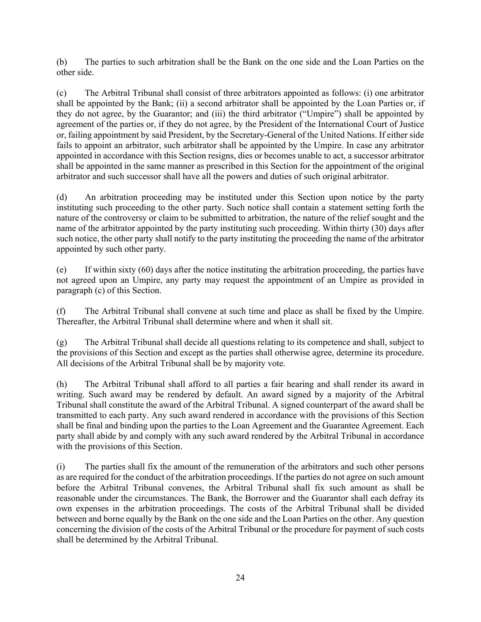(b) The parties to such arbitration shall be the Bank on the one side and the Loan Parties on the other side.

(c) The Arbitral Tribunal shall consist of three arbitrators appointed as follows: (i) one arbitrator shall be appointed by the Bank; (ii) a second arbitrator shall be appointed by the Loan Parties or, if they do not agree, by the Guarantor; and (iii) the third arbitrator ("Umpire") shall be appointed by agreement of the parties or, if they do not agree, by the President of the International Court of Justice or, failing appointment by said President, by the Secretary-General of the United Nations. If either side fails to appoint an arbitrator, such arbitrator shall be appointed by the Umpire. In case any arbitrator appointed in accordance with this Section resigns, dies or becomes unable to act, a successor arbitrator shall be appointed in the same manner as prescribed in this Section for the appointment of the original arbitrator and such successor shall have all the powers and duties of such original arbitrator.

(d) An arbitration proceeding may be instituted under this Section upon notice by the party instituting such proceeding to the other party. Such notice shall contain a statement setting forth the nature of the controversy or claim to be submitted to arbitration, the nature of the relief sought and the name of the arbitrator appointed by the party instituting such proceeding. Within thirty (30) days after such notice, the other party shall notify to the party instituting the proceeding the name of the arbitrator appointed by such other party.

(e) If within sixty (60) days after the notice instituting the arbitration proceeding, the parties have not agreed upon an Umpire, any party may request the appointment of an Umpire as provided in paragraph (c) of this Section.

(f) The Arbitral Tribunal shall convene at such time and place as shall be fixed by the Umpire. Thereafter, the Arbitral Tribunal shall determine where and when it shall sit.

(g) The Arbitral Tribunal shall decide all questions relating to its competence and shall, subject to the provisions of this Section and except as the parties shall otherwise agree, determine its procedure. All decisions of the Arbitral Tribunal shall be by majority vote.

(h) The Arbitral Tribunal shall afford to all parties a fair hearing and shall render its award in writing. Such award may be rendered by default. An award signed by a majority of the Arbitral Tribunal shall constitute the award of the Arbitral Tribunal. A signed counterpart of the award shall be transmitted to each party. Any such award rendered in accordance with the provisions of this Section shall be final and binding upon the parties to the Loan Agreement and the Guarantee Agreement. Each party shall abide by and comply with any such award rendered by the Arbitral Tribunal in accordance with the provisions of this Section.

(i) The parties shall fix the amount of the remuneration of the arbitrators and such other persons as are required for the conduct of the arbitration proceedings. If the parties do not agree on such amount before the Arbitral Tribunal convenes, the Arbitral Tribunal shall fix such amount as shall be reasonable under the circumstances. The Bank, the Borrower and the Guarantor shall each defray its own expenses in the arbitration proceedings. The costs of the Arbitral Tribunal shall be divided between and borne equally by the Bank on the one side and the Loan Parties on the other. Any question concerning the division of the costs of the Arbitral Tribunal or the procedure for payment of such costs shall be determined by the Arbitral Tribunal.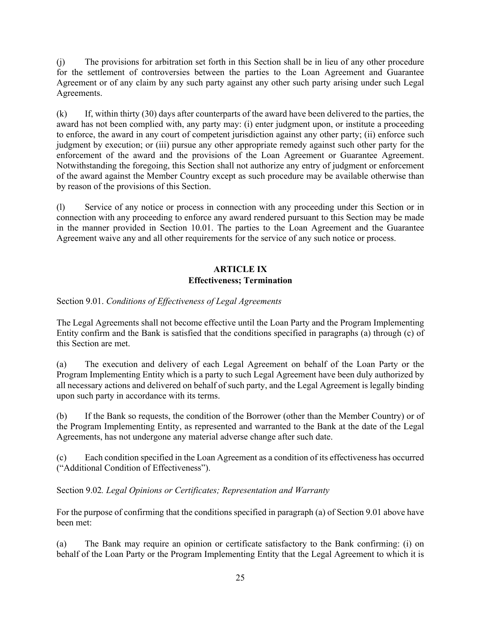(j) The provisions for arbitration set forth in this Section shall be in lieu of any other procedure for the settlement of controversies between the parties to the Loan Agreement and Guarantee Agreement or of any claim by any such party against any other such party arising under such Legal Agreements.

(k) If, within thirty (30) days after counterparts of the award have been delivered to the parties, the award has not been complied with, any party may: (i) enter judgment upon, or institute a proceeding to enforce, the award in any court of competent jurisdiction against any other party; (ii) enforce such judgment by execution; or (iii) pursue any other appropriate remedy against such other party for the enforcement of the award and the provisions of the Loan Agreement or Guarantee Agreement. Notwithstanding the foregoing, this Section shall not authorize any entry of judgment or enforcement of the award against the Member Country except as such procedure may be available otherwise than by reason of the provisions of this Section.

(l) Service of any notice or process in connection with any proceeding under this Section or in connection with any proceeding to enforce any award rendered pursuant to this Section may be made in the manner provided in Section 10.01. The parties to the Loan Agreement and the Guarantee Agreement waive any and all other requirements for the service of any such notice or process.

# <span id="page-29-0"></span>**ARTICLE IX Effectiveness; Termination**

<span id="page-29-1"></span>Section 9.01. *Conditions of Effectiveness of Legal Agreements* 

The Legal Agreements shall not become effective until the Loan Party and the Program Implementing Entity confirm and the Bank is satisfied that the conditions specified in paragraphs (a) through (c) of this Section are met.

(a) The execution and delivery of each Legal Agreement on behalf of the Loan Party or the Program Implementing Entity which is a party to such Legal Agreement have been duly authorized by all necessary actions and delivered on behalf of such party, and the Legal Agreement is legally binding upon such party in accordance with its terms.

(b) If the Bank so requests, the condition of the Borrower (other than the Member Country) or of the Program Implementing Entity, as represented and warranted to the Bank at the date of the Legal Agreements, has not undergone any material adverse change after such date.

(c) Each condition specified in the Loan Agreement as a condition of its effectiveness has occurred ("Additional Condition of Effectiveness").

<span id="page-29-2"></span>Section 9.02*. Legal Opinions or Certificates; Representation and Warranty*

For the purpose of confirming that the conditions specified in paragraph (a) of Section 9.01 above have been met:

(a) The Bank may require an opinion or certificate satisfactory to the Bank confirming: (i) on behalf of the Loan Party or the Program Implementing Entity that the Legal Agreement to which it is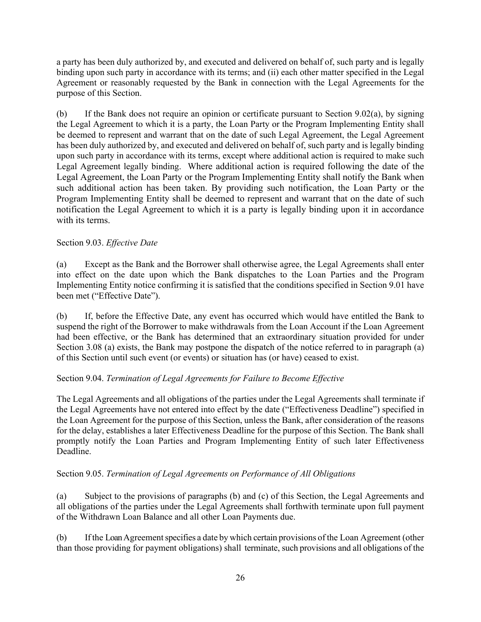a party has been duly authorized by, and executed and delivered on behalf of, such party and is legally binding upon such party in accordance with its terms; and (ii) each other matter specified in the Legal Agreement or reasonably requested by the Bank in connection with the Legal Agreements for the purpose of this Section.

(b) If the Bank does not require an opinion or certificate pursuant to Section 9.02(a), by signing the Legal Agreement to which it is a party, the Loan Party or the Program Implementing Entity shall be deemed to represent and warrant that on the date of such Legal Agreement, the Legal Agreement has been duly authorized by, and executed and delivered on behalf of, such party and is legally binding upon such party in accordance with its terms, except where additional action is required to make such Legal Agreement legally binding. Where additional action is required following the date of the Legal Agreement, the Loan Party or the Program Implementing Entity shall notify the Bank when such additional action has been taken. By providing such notification, the Loan Party or the Program Implementing Entity shall be deemed to represent and warrant that on the date of such notification the Legal Agreement to which it is a party is legally binding upon it in accordance with its terms.

# <span id="page-30-0"></span>Section 9.03. *Effective Date*

(a) Except as the Bank and the Borrower shall otherwise agree, the Legal Agreements shall enter into effect on the date upon which the Bank dispatches to the Loan Parties and the Program Implementing Entity notice confirming it is satisfied that the conditions specified in Section 9.01 have been met ("Effective Date").

(b) If, before the Effective Date, any event has occurred which would have entitled the Bank to suspend the right of the Borrower to make withdrawals from the Loan Account if the Loan Agreement had been effective, or the Bank has determined that an extraordinary situation provided for under Section 3.08 (a) exists, the Bank may postpone the dispatch of the notice referred to in paragraph (a) of this Section until such event (or events) or situation has (or have) ceased to exist.

# <span id="page-30-1"></span>Section 9.04. *Termination of Legal Agreements for Failure to Become Effective*

The Legal Agreements and all obligations of the parties under the Legal Agreements shall terminate if the Legal Agreements have not entered into effect by the date ("Effectiveness Deadline") specified in the Loan Agreement for the purpose of this Section, unless the Bank, after consideration of the reasons for the delay, establishes a later Effectiveness Deadline for the purpose of this Section. The Bank shall promptly notify the Loan Parties and Program Implementing Entity of such later Effectiveness Deadline.

# <span id="page-30-2"></span>Section 9.05. *Termination of Legal Agreements on Performance of All Obligations*

(a) Subject to the provisions of paragraphs (b) and (c) of this Section, the Legal Agreements and all obligations of the parties under the Legal Agreements shall forthwith terminate upon full payment of the Withdrawn Loan Balance and all other Loan Payments due.

(b) If the Loan Agreement specifies a date by which certain provisions of the Loan Agreement (other than those providing for payment obligations) shall terminate, such provisions and all obligations of the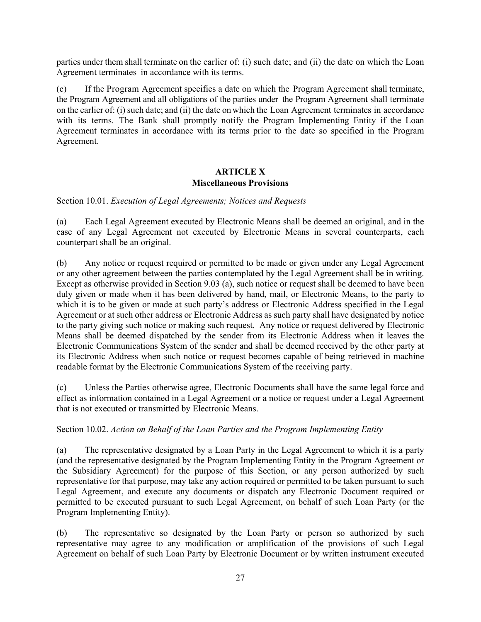parties under them shall terminate on the earlier of: (i) such date; and (ii) the date on which the Loan Agreement terminates in accordance with its terms.

(c) If the Program Agreement specifies a date on which the Program Agreement shall terminate, the Program Agreement and all obligations of the parties under the Program Agreement shall terminate on the earlier of: (i) such date; and (ii) the date on which the Loan Agreement terminates in accordance with its terms. The Bank shall promptly notify the Program Implementing Entity if the Loan Agreement terminates in accordance with its terms prior to the date so specified in the Program Agreement.

# <span id="page-31-0"></span>**ARTICLE X Miscellaneous Provisions**

<span id="page-31-1"></span>Section 10.01. *Execution of Legal Agreements; Notices and Requests*

(a) Each Legal Agreement executed by Electronic Means shall be deemed an original, and in the case of any Legal Agreement not executed by Electronic Means in several counterparts, each counterpart shall be an original.

(b) Any notice or request required or permitted to be made or given under any Legal Agreement or any other agreement between the parties contemplated by the Legal Agreement shall be in writing. Except as otherwise provided in Section 9.03 (a), such notice or request shall be deemed to have been duly given or made when it has been delivered by hand, mail, or Electronic Means, to the party to which it is to be given or made at such party's address or Electronic Address specified in the Legal Agreement or at such other address or Electronic Address as such party shall have designated by notice to the party giving such notice or making such request. Any notice or request delivered by Electronic Means shall be deemed dispatched by the sender from its Electronic Address when it leaves the Electronic Communications System of the sender and shall be deemed received by the other party at its Electronic Address when such notice or request becomes capable of being retrieved in machine readable format by the Electronic Communications System of the receiving party.

(c) Unless the Parties otherwise agree, Electronic Documents shall have the same legal force and effect as information contained in a Legal Agreement or a notice or request under a Legal Agreement that is not executed or transmitted by Electronic Means.

# <span id="page-31-2"></span>Section 10.02. *Action on Behalf of the Loan Parties and the Program Implementing Entity*

(a) The representative designated by a Loan Party in the Legal Agreement to which it is a party (and the representative designated by the Program Implementing Entity in the Program Agreement or the Subsidiary Agreement) for the purpose of this Section, or any person authorized by such representative for that purpose, may take any action required or permitted to be taken pursuant to such Legal Agreement, and execute any documents or dispatch any Electronic Document required or permitted to be executed pursuant to such Legal Agreement, on behalf of such Loan Party (or the Program Implementing Entity).

(b) The representative so designated by the Loan Party or person so authorized by such representative may agree to any modification or amplification of the provisions of such Legal Agreement on behalf of such Loan Party by Electronic Document or by written instrument executed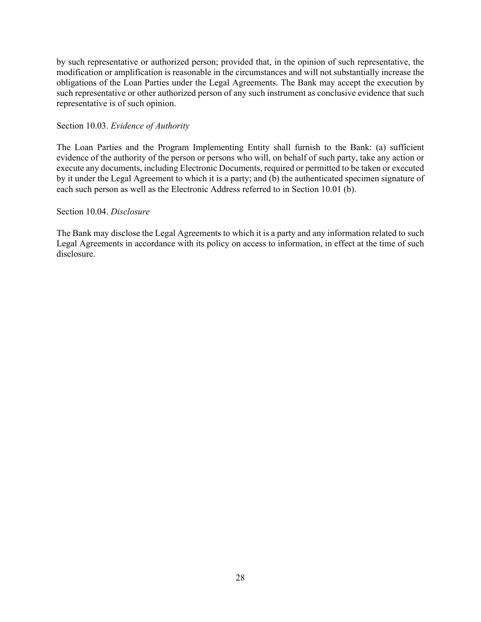by such representative or authorized person; provided that, in the opinion of such representative, the modification or amplification is reasonable in the circumstances and will not substantially increase the obligations of the Loan Parties under the Legal Agreements. The Bank may accept the execution by such representative or other authorized person of any such instrument as conclusive evidence that such representative is of such opinion.

#### <span id="page-32-0"></span>Section 10.03. *Evidence of Authority*

The Loan Parties and the Program Implementing Entity shall furnish to the Bank: (a) sufficient evidence of the authority of the person or persons who will, on behalf of such party, take any action or execute any documents, including Electronic Documents, required or permitted to be taken or executed by it under the Legal Agreement to which it is a party; and (b) the authenticated specimen signature of each such person as well as the Electronic Address referred to in Section 10.01 (b).

#### <span id="page-32-1"></span>Section 10.04. *Disclosure*

The Bank may disclose the Legal Agreements to which it is a party and any information related to such Legal Agreements in accordance with its policy on access to information, in effect at the time of such disclosure.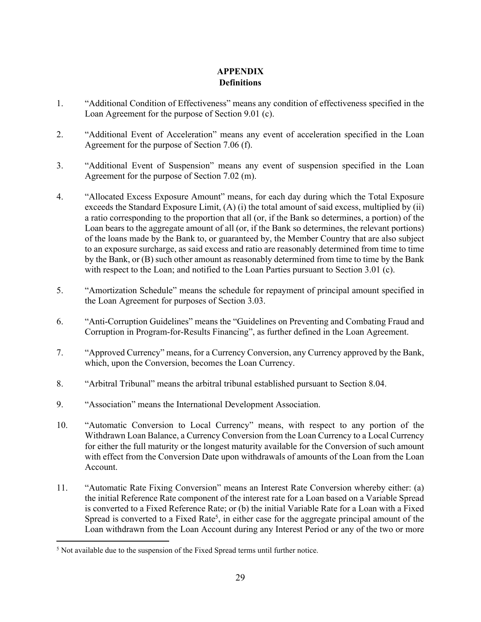# <span id="page-33-0"></span>**APPENDIX Definitions**

- 1. "Additional Condition of Effectiveness" means any condition of effectiveness specified in the Loan Agreement for the purpose of Section 9.01 (c).
- 2. "Additional Event of Acceleration" means any event of acceleration specified in the Loan Agreement for the purpose of Section 7.06 (f).
- 3. "Additional Event of Suspension" means any event of suspension specified in the Loan Agreement for the purpose of Section 7.02 (m).
- 4. "Allocated Excess Exposure Amount" means, for each day during which the Total Exposure exceeds the Standard Exposure Limit, (A) (i) the total amount of said excess, multiplied by (ii) a ratio corresponding to the proportion that all (or, if the Bank so determines, a portion) of the Loan bears to the aggregate amount of all (or, if the Bank so determines, the relevant portions) of the loans made by the Bank to, or guaranteed by, the Member Country that are also subject to an exposure surcharge, as said excess and ratio are reasonably determined from time to time by the Bank, or (B) such other amount as reasonably determined from time to time by the Bank with respect to the Loan; and notified to the Loan Parties pursuant to Section 3.01 (c).
- 5. "Amortization Schedule" means the schedule for repayment of principal amount specified in the Loan Agreement for purposes of Section 3.03.
- 6. "Anti-Corruption Guidelines" means the "Guidelines on Preventing and Combating Fraud and Corruption in Program-for-Results Financing", as further defined in the Loan Agreement.
- 7. "Approved Currency" means, for a Currency Conversion, any Currency approved by the Bank, which, upon the Conversion, becomes the Loan Currency.
- 8. "Arbitral Tribunal" means the arbitral tribunal established pursuant to Section 8.04.
- 9. "Association" means the International Development Association.
- 10. "Automatic Conversion to Local Currency" means, with respect to any portion of the Withdrawn Loan Balance, a Currency Conversion from the Loan Currency to a Local Currency for either the full maturity or the longest maturity available for the Conversion of such amount with effect from the Conversion Date upon withdrawals of amounts of the Loan from the Loan Account.
- 11. "Automatic Rate Fixing Conversion" means an Interest Rate Conversion whereby either: (a) the initial Reference Rate component of the interest rate for a Loan based on a Variable Spread is converted to a Fixed Reference Rate; or (b) the initial Variable Rate for a Loan with a Fixed Spread is converted to a Fixed Rate<sup>5</sup>, in either case for the aggregate principal amount of the Loan withdrawn from the Loan Account during any Interest Period or any of the two or more

<sup>&</sup>lt;sup>5</sup> Not available due to the suspension of the Fixed Spread terms until further notice.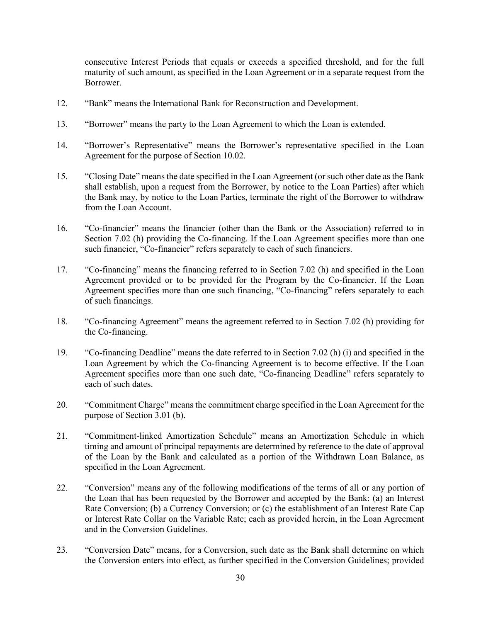consecutive Interest Periods that equals or exceeds a specified threshold, and for the full maturity of such amount, as specified in the Loan Agreement or in a separate request from the Borrower.

- 12. "Bank" means the International Bank for Reconstruction and Development.
- 13. "Borrower" means the party to the Loan Agreement to which the Loan is extended.
- 14. "Borrower's Representative" means the Borrower's representative specified in the Loan Agreement for the purpose of Section 10.02.
- 15. "Closing Date" means the date specified in the Loan Agreement (or such other date as the Bank shall establish, upon a request from the Borrower, by notice to the Loan Parties) after which the Bank may, by notice to the Loan Parties, terminate the right of the Borrower to withdraw from the Loan Account.
- 16. "Co-financier" means the financier (other than the Bank or the Association) referred to in Section 7.02 (h) providing the Co-financing. If the Loan Agreement specifies more than one such financier, "Co-financier" refers separately to each of such financiers.
- 17. "Co-financing" means the financing referred to in Section 7.02 (h) and specified in the Loan Agreement provided or to be provided for the Program by the Co-financier. If the Loan Agreement specifies more than one such financing, "Co-financing" refers separately to each of such financings.
- 18. "Co-financing Agreement" means the agreement referred to in Section 7.02 (h) providing for the Co-financing.
- 19. "Co-financing Deadline" means the date referred to in Section 7.02 (h) (i) and specified in the Loan Agreement by which the Co-financing Agreement is to become effective. If the Loan Agreement specifies more than one such date, "Co-financing Deadline" refers separately to each of such dates.
- 20. "Commitment Charge" means the commitment charge specified in the Loan Agreement for the purpose of Section 3.01 (b).
- 21. "Commitment-linked Amortization Schedule" means an Amortization Schedule in which timing and amount of principal repayments are determined by reference to the date of approval of the Loan by the Bank and calculated as a portion of the Withdrawn Loan Balance, as specified in the Loan Agreement.
- 22. "Conversion" means any of the following modifications of the terms of all or any portion of the Loan that has been requested by the Borrower and accepted by the Bank: (a) an Interest Rate Conversion; (b) a Currency Conversion; or (c) the establishment of an Interest Rate Cap or Interest Rate Collar on the Variable Rate; each as provided herein, in the Loan Agreement and in the Conversion Guidelines.
- 23. "Conversion Date" means, for a Conversion, such date as the Bank shall determine on which the Conversion enters into effect, as further specified in the Conversion Guidelines; provided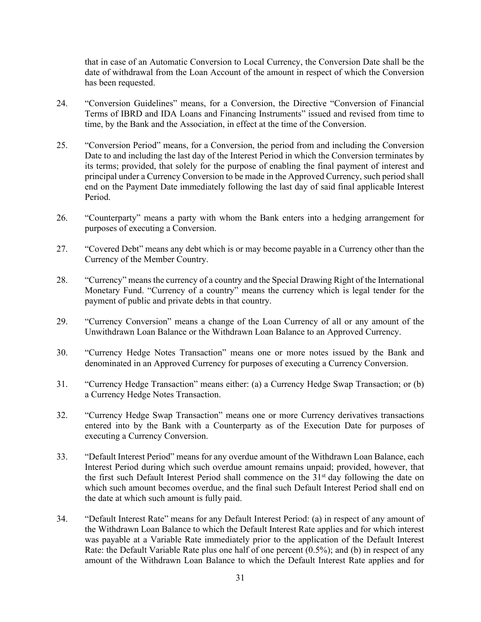that in case of an Automatic Conversion to Local Currency, the Conversion Date shall be the date of withdrawal from the Loan Account of the amount in respect of which the Conversion has been requested.

- 24. "Conversion Guidelines" means, for a Conversion, the Directive "Conversion of Financial Terms of IBRD and IDA Loans and Financing Instruments" issued and revised from time to time, by the Bank and the Association, in effect at the time of the Conversion.
- 25. "Conversion Period" means, for a Conversion, the period from and including the Conversion Date to and including the last day of the Interest Period in which the Conversion terminates by its terms; provided, that solely for the purpose of enabling the final payment of interest and principal under a Currency Conversion to be made in the Approved Currency, such period shall end on the Payment Date immediately following the last day of said final applicable Interest Period.
- 26. "Counterparty" means a party with whom the Bank enters into a hedging arrangement for purposes of executing a Conversion.
- 27. "Covered Debt" means any debt which is or may become payable in a Currency other than the Currency of the Member Country.
- 28. "Currency" means the currency of a country and the Special Drawing Right of the International Monetary Fund. "Currency of a country" means the currency which is legal tender for the payment of public and private debts in that country.
- 29. "Currency Conversion" means a change of the Loan Currency of all or any amount of the Unwithdrawn Loan Balance or the Withdrawn Loan Balance to an Approved Currency.
- 30. "Currency Hedge Notes Transaction" means one or more notes issued by the Bank and denominated in an Approved Currency for purposes of executing a Currency Conversion.
- 31. "Currency Hedge Transaction" means either: (a) a Currency Hedge Swap Transaction; or (b) a Currency Hedge Notes Transaction.
- 32. "Currency Hedge Swap Transaction" means one or more Currency derivatives transactions entered into by the Bank with a Counterparty as of the Execution Date for purposes of executing a Currency Conversion.
- 33. "Default Interest Period" means for any overdue amount of the Withdrawn Loan Balance, each Interest Period during which such overdue amount remains unpaid; provided, however, that the first such Default Interest Period shall commence on the  $31<sup>st</sup>$  day following the date on which such amount becomes overdue, and the final such Default Interest Period shall end on the date at which such amount is fully paid.
- 34. "Default Interest Rate" means for any Default Interest Period: (a) in respect of any amount of the Withdrawn Loan Balance to which the Default Interest Rate applies and for which interest was payable at a Variable Rate immediately prior to the application of the Default Interest Rate: the Default Variable Rate plus one half of one percent (0.5%); and (b) in respect of any amount of the Withdrawn Loan Balance to which the Default Interest Rate applies and for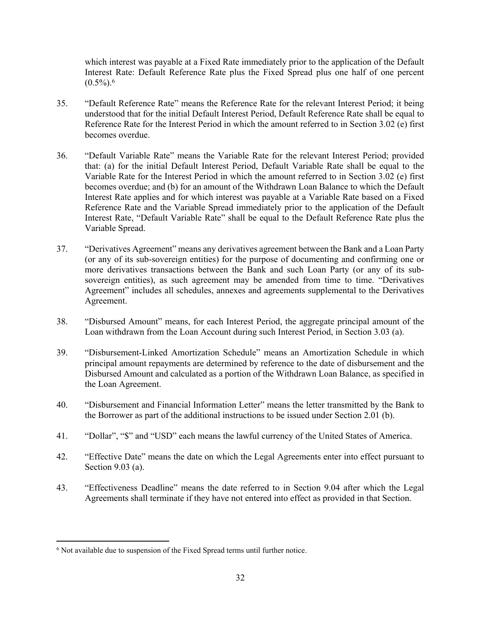which interest was payable at a Fixed Rate immediately prior to the application of the Default Interest Rate: Default Reference Rate plus the Fixed Spread plus one half of one percent  $(0.5\%)$ .<sup>6</sup>

- 35. "Default Reference Rate" means the Reference Rate for the relevant Interest Period; it being understood that for the initial Default Interest Period, Default Reference Rate shall be equal to Reference Rate for the Interest Period in which the amount referred to in Section 3.02 (e) first becomes overdue.
- 36. "Default Variable Rate" means the Variable Rate for the relevant Interest Period; provided that: (a) for the initial Default Interest Period, Default Variable Rate shall be equal to the Variable Rate for the Interest Period in which the amount referred to in Section 3.02 (e) first becomes overdue; and (b) for an amount of the Withdrawn Loan Balance to which the Default Interest Rate applies and for which interest was payable at a Variable Rate based on a Fixed Reference Rate and the Variable Spread immediately prior to the application of the Default Interest Rate, "Default Variable Rate" shall be equal to the Default Reference Rate plus the Variable Spread.
- 37. "Derivatives Agreement" means any derivatives agreement between the Bank and a Loan Party (or any of its sub-sovereign entities) for the purpose of documenting and confirming one or more derivatives transactions between the Bank and such Loan Party (or any of its subsovereign entities), as such agreement may be amended from time to time. "Derivatives Agreement" includes all schedules, annexes and agreements supplemental to the Derivatives Agreement.
- 38. "Disbursed Amount" means, for each Interest Period, the aggregate principal amount of the Loan withdrawn from the Loan Account during such Interest Period, in Section 3.03 (a).
- 39. "Disbursement-Linked Amortization Schedule" means an Amortization Schedule in which principal amount repayments are determined by reference to the date of disbursement and the Disbursed Amount and calculated as a portion of the Withdrawn Loan Balance, as specified in the Loan Agreement.
- 40. "Disbursement and Financial Information Letter" means the letter transmitted by the Bank to the Borrower as part of the additional instructions to be issued under Section 2.01 (b).
- 41. "Dollar", "\$" and "USD" each means the lawful currency of the United States of America.
- 42. "Effective Date" means the date on which the Legal Agreements enter into effect pursuant to Section 9.03 (a).
- 43. "Effectiveness Deadline" means the date referred to in Section 9.04 after which the Legal Agreements shall terminate if they have not entered into effect as provided in that Section.

<sup>&</sup>lt;sup>6</sup> Not available due to suspension of the Fixed Spread terms until further notice.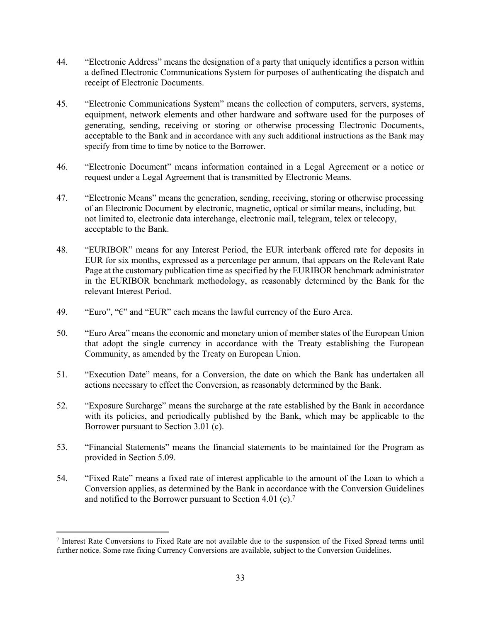- 44. "Electronic Address" means the designation of a party that uniquely identifies a person within a defined Electronic Communications System for purposes of authenticating the dispatch and receipt of Electronic Documents.
- 45. "Electronic Communications System" means the collection of computers, servers, systems, equipment, network elements and other hardware and software used for the purposes of generating, sending, receiving or storing or otherwise processing Electronic Documents, acceptable to the Bank and in accordance with any such additional instructions as the Bank may specify from time to time by notice to the Borrower.
- 46. "Electronic Document" means information contained in a Legal Agreement or a notice or request under a Legal Agreement that is transmitted by Electronic Means.
- 47. "Electronic Means" means the generation, sending, receiving, storing or otherwise processing of an Electronic Document by electronic, magnetic, optical or similar means, including, but not limited to, electronic data interchange, electronic mail, telegram, telex or telecopy, acceptable to the Bank.
- 48. "EURIBOR" means for any Interest Period, the EUR interbank offered rate for deposits in EUR for six months, expressed as a percentage per annum, that appears on the Relevant Rate Page at the customary publication time as specified by the EURIBOR benchmark administrator in the EURIBOR benchmark methodology, as reasonably determined by the Bank for the relevant Interest Period.
- 49. "Euro", "€" and "EUR" each means the lawful currency of the Euro Area.
- 50. "Euro Area" means the economic and monetary union of member states of the European Union that adopt the single currency in accordance with the Treaty establishing the European Community, as amended by the Treaty on European Union.
- 51. "Execution Date" means, for a Conversion, the date on which the Bank has undertaken all actions necessary to effect the Conversion, as reasonably determined by the Bank.
- 52. "Exposure Surcharge" means the surcharge at the rate established by the Bank in accordance with its policies, and periodically published by the Bank, which may be applicable to the Borrower pursuant to Section 3.01 (c).
- 53. "Financial Statements" means the financial statements to be maintained for the Program as provided in Section 5.09.
- 54. "Fixed Rate" means a fixed rate of interest applicable to the amount of the Loan to which a Conversion applies, as determined by the Bank in accordance with the Conversion Guidelines and notified to the Borrower pursuant to Section 4.01 (c).<sup>7</sup>

<sup>7</sup> Interest Rate Conversions to Fixed Rate are not available due to the suspension of the Fixed Spread terms until further notice. Some rate fixing Currency Conversions are available, subject to the Conversion Guidelines.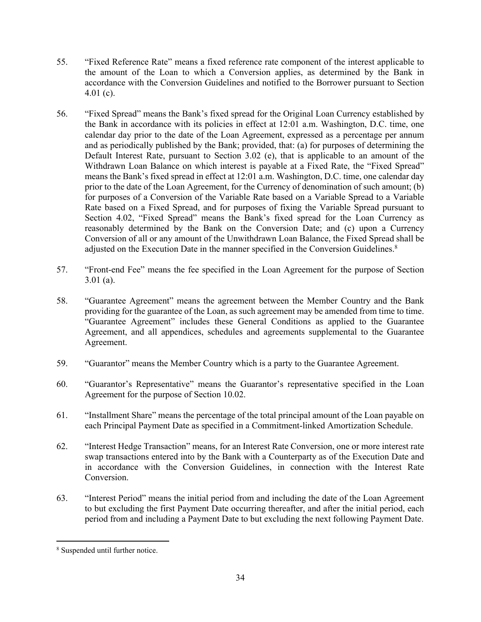- 55. "Fixed Reference Rate" means a fixed reference rate component of the interest applicable to the amount of the Loan to which a Conversion applies, as determined by the Bank in accordance with the Conversion Guidelines and notified to the Borrower pursuant to Section  $4.01$  (c).
- 56. "Fixed Spread" means the Bank's fixed spread for the Original Loan Currency established by the Bank in accordance with its policies in effect at 12:01 a.m. Washington, D.C. time, one calendar day prior to the date of the Loan Agreement, expressed as a percentage per annum and as periodically published by the Bank; provided, that: (a) for purposes of determining the Default Interest Rate, pursuant to Section 3.02 (e), that is applicable to an amount of the Withdrawn Loan Balance on which interest is payable at a Fixed Rate, the "Fixed Spread" means the Bank's fixed spread in effect at 12:01 a.m. Washington, D.C. time, one calendar day prior to the date of the Loan Agreement, for the Currency of denomination of such amount; (b) for purposes of a Conversion of the Variable Rate based on a Variable Spread to a Variable Rate based on a Fixed Spread, and for purposes of fixing the Variable Spread pursuant to Section 4.02, "Fixed Spread" means the Bank's fixed spread for the Loan Currency as reasonably determined by the Bank on the Conversion Date; and (c) upon a Currency Conversion of all or any amount of the Unwithdrawn Loan Balance, the Fixed Spread shall be adjusted on the Execution Date in the manner specified in the Conversion Guidelines.<sup>8</sup>
- 57. "Front-end Fee" means the fee specified in the Loan Agreement for the purpose of Section 3.01 (a).
- 58. "Guarantee Agreement" means the agreement between the Member Country and the Bank providing for the guarantee of the Loan, as such agreement may be amended from time to time. "Guarantee Agreement" includes these General Conditions as applied to the Guarantee Agreement, and all appendices, schedules and agreements supplemental to the Guarantee Agreement.
- 59. "Guarantor" means the Member Country which is a party to the Guarantee Agreement.
- 60. "Guarantor's Representative" means the Guarantor's representative specified in the Loan Agreement for the purpose of Section 10.02.
- 61. "Installment Share" means the percentage of the total principal amount of the Loan payable on each Principal Payment Date as specified in a Commitment-linked Amortization Schedule.
- 62. "Interest Hedge Transaction" means, for an Interest Rate Conversion, one or more interest rate swap transactions entered into by the Bank with a Counterparty as of the Execution Date and in accordance with the Conversion Guidelines, in connection with the Interest Rate Conversion.
- 63. "Interest Period" means the initial period from and including the date of the Loan Agreement to but excluding the first Payment Date occurring thereafter, and after the initial period, each period from and including a Payment Date to but excluding the next following Payment Date.

<sup>8</sup> Suspended until further notice.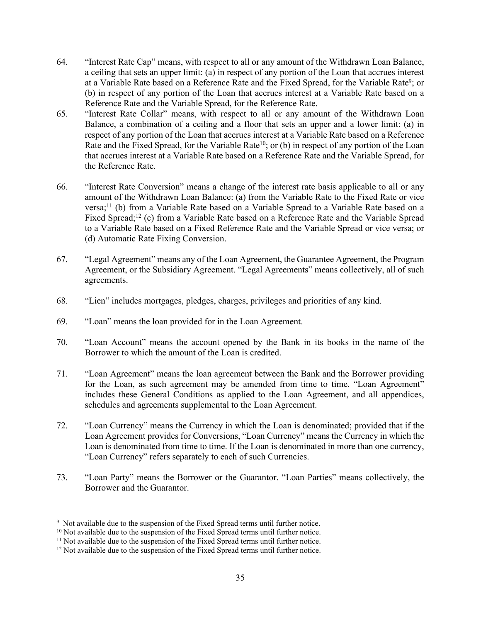- 64. "Interest Rate Cap" means, with respect to all or any amount of the Withdrawn Loan Balance, a ceiling that sets an upper limit: (a) in respect of any portion of the Loan that accrues interest at a Variable Rate based on a Reference Rate and the Fixed Spread, for the Variable Rate<sup>9</sup>; or (b) in respect of any portion of the Loan that accrues interest at a Variable Rate based on a Reference Rate and the Variable Spread, for the Reference Rate.
- 65. "Interest Rate Collar" means, with respect to all or any amount of the Withdrawn Loan Balance, a combination of a ceiling and a floor that sets an upper and a lower limit: (a) in respect of any portion of the Loan that accrues interest at a Variable Rate based on a Reference Rate and the Fixed Spread, for the Variable Rate<sup>10</sup>; or (b) in respect of any portion of the Loan that accrues interest at a Variable Rate based on a Reference Rate and the Variable Spread, for the Reference Rate.
- 66. "Interest Rate Conversion" means a change of the interest rate basis applicable to all or any amount of the Withdrawn Loan Balance: (a) from the Variable Rate to the Fixed Rate or vice versa;<sup>11</sup> (b) from a Variable Rate based on a Variable Spread to a Variable Rate based on a Fixed Spread;<sup>12</sup> (c) from a Variable Rate based on a Reference Rate and the Variable Spread to a Variable Rate based on a Fixed Reference Rate and the Variable Spread or vice versa; or (d) Automatic Rate Fixing Conversion.
- 67. "Legal Agreement" means any of the Loan Agreement, the Guarantee Agreement, the Program Agreement, or the Subsidiary Agreement. "Legal Agreements" means collectively, all of such agreements.
- 68. "Lien" includes mortgages, pledges, charges, privileges and priorities of any kind.
- 69. "Loan" means the loan provided for in the Loan Agreement.
- 70. "Loan Account" means the account opened by the Bank in its books in the name of the Borrower to which the amount of the Loan is credited.
- 71. "Loan Agreement" means the loan agreement between the Bank and the Borrower providing for the Loan, as such agreement may be amended from time to time. "Loan Agreement" includes these General Conditions as applied to the Loan Agreement, and all appendices, schedules and agreements supplemental to the Loan Agreement.
- 72. "Loan Currency" means the Currency in which the Loan is denominated; provided that if the Loan Agreement provides for Conversions, "Loan Currency" means the Currency in which the Loan is denominated from time to time. If the Loan is denominated in more than one currency, "Loan Currency" refers separately to each of such Currencies.
- 73. "Loan Party" means the Borrower or the Guarantor. "Loan Parties" means collectively, the Borrower and the Guarantor.

<sup>&</sup>lt;sup>9</sup> Not available due to the suspension of the Fixed Spread terms until further notice.

<sup>&</sup>lt;sup>10</sup> Not available due to the suspension of the Fixed Spread terms until further notice.

 $11$  Not available due to the suspension of the Fixed Spread terms until further notice.

<sup>&</sup>lt;sup>12</sup> Not available due to the suspension of the Fixed Spread terms until further notice.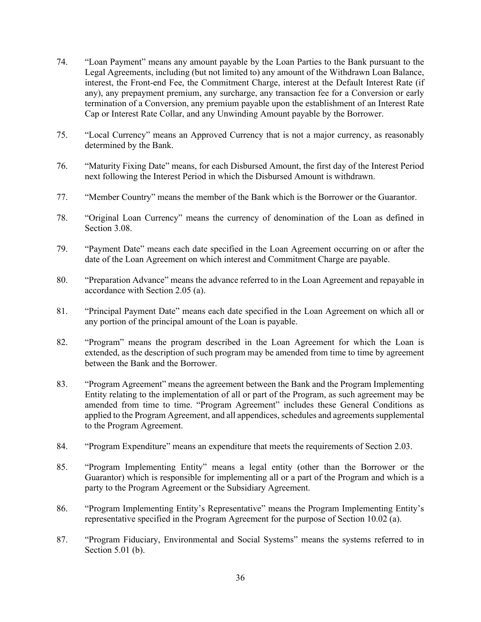- 74. "Loan Payment" means any amount payable by the Loan Parties to the Bank pursuant to the Legal Agreements, including (but not limited to) any amount of the Withdrawn Loan Balance, interest, the Front-end Fee, the Commitment Charge, interest at the Default Interest Rate (if any), any prepayment premium, any surcharge, any transaction fee for a Conversion or early termination of a Conversion, any premium payable upon the establishment of an Interest Rate Cap or Interest Rate Collar, and any Unwinding Amount payable by the Borrower.
- 75. "Local Currency" means an Approved Currency that is not a major currency, as reasonably determined by the Bank.
- 76. "Maturity Fixing Date" means, for each Disbursed Amount, the first day of the Interest Period next following the Interest Period in which the Disbursed Amount is withdrawn.
- 77. "Member Country" means the member of the Bank which is the Borrower or the Guarantor.
- 78. "Original Loan Currency" means the currency of denomination of the Loan as defined in Section 3.08.
- 79. "Payment Date" means each date specified in the Loan Agreement occurring on or after the date of the Loan Agreement on which interest and Commitment Charge are payable.
- 80. "Preparation Advance" means the advance referred to in the Loan Agreement and repayable in accordance with Section 2.05 (a).
- 81. "Principal Payment Date" means each date specified in the Loan Agreement on which all or any portion of the principal amount of the Loan is payable.
- 82. "Program" means the program described in the Loan Agreement for which the Loan is extended, as the description of such program may be amended from time to time by agreement between the Bank and the Borrower.
- 83. "Program Agreement" means the agreement between the Bank and the Program Implementing Entity relating to the implementation of all or part of the Program, as such agreement may be amended from time to time. "Program Agreement" includes these General Conditions as applied to the Program Agreement, and all appendices, schedules and agreements supplemental to the Program Agreement.
- 84. "Program Expenditure" means an expenditure that meets the requirements of Section 2.03.
- 85. "Program Implementing Entity" means a legal entity (other than the Borrower or the Guarantor) which is responsible for implementing all or a part of the Program and which is a party to the Program Agreement or the Subsidiary Agreement.
- 86. "Program Implementing Entity's Representative" means the Program Implementing Entity's representative specified in the Program Agreement for the purpose of Section 10.02 (a).
- 87. "Program Fiduciary, Environmental and Social Systems" means the systems referred to in Section 5.01 (b).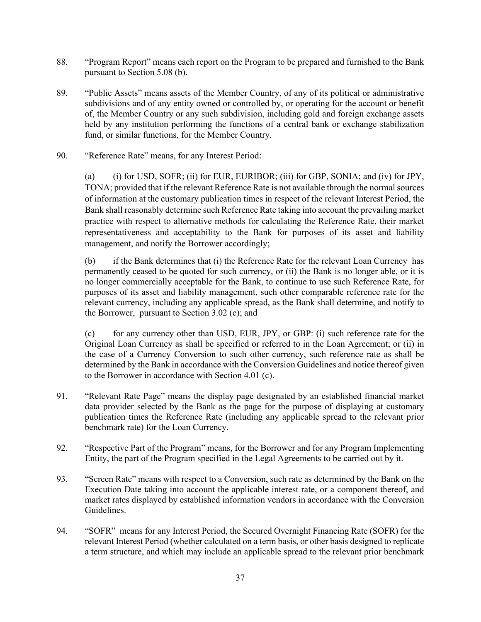- 88. "Program Report" means each report on the Program to be prepared and furnished to the Bank pursuant to Section 5.08 (b).
- 89. "Public Assets" means assets of the Member Country, of any of its political or administrative subdivisions and of any entity owned or controlled by, or operating for the account or benefit of, the Member Country or any such subdivision, including gold and foreign exchange assets held by any institution performing the functions of a central bank or exchange stabilization fund, or similar functions, for the Member Country.
- 90. "Reference Rate" means, for any Interest Period:

(a) (i) for USD, SOFR; (ii) for EUR, EURIBOR; (iii) for GBP, SONIA; and (iv) for JPY, TONA; provided that if the relevant Reference Rate is not available through the normal sources of information at the customary publication times in respect of the relevant Interest Period, the Bank shall reasonably determine such Reference Rate taking into account the prevailing market practice with respect to alternative methods for calculating the Reference Rate, their market representativeness and acceptability to the Bank for purposes of its asset and liability management, and notify the Borrower accordingly;

(b) if the Bank determines that (i) the Reference Rate for the relevant Loan Currency has permanently ceased to be quoted for such currency, or (ii) the Bank is no longer able, or it is no longer commercially acceptable for the Bank, to continue to use such Reference Rate, for purposes of its asset and liability management, such other comparable reference rate for the relevant currency, including any applicable spread, as the Bank shall determine, and notify to the Borrower, pursuant to Section 3.02 (c); and

(c) for any currency other than USD, EUR, JPY, or GBP: (i) such reference rate for the Original Loan Currency as shall be specified or referred to in the Loan Agreement; or (ii) in the case of a Currency Conversion to such other currency, such reference rate as shall be determined by the Bank in accordance with the Conversion Guidelines and notice thereof given to the Borrower in accordance with Section 4.01 (c).

- 91. "Relevant Rate Page" means the display page designated by an established financial market data provider selected by the Bank as the page for the purpose of displaying at customary publication times the Reference Rate (including any applicable spread to the relevant prior benchmark rate) for the Loan Currency.
- 92. "Respective Part of the Program" means, for the Borrower and for any Program Implementing Entity, the part of the Program specified in the Legal Agreements to be carried out by it.
- 93. "Screen Rate" means with respect to a Conversion, such rate as determined by the Bank on the Execution Date taking into account the applicable interest rate, or a component thereof, and market rates displayed by established information vendors in accordance with the Conversion Guidelines.
- 94. "SOFR" means for any Interest Period, the Secured Overnight Financing Rate (SOFR) for the relevant Interest Period (whether calculated on a term basis, or other basis designed to replicate a term structure, and which may include an applicable spread to the relevant prior benchmark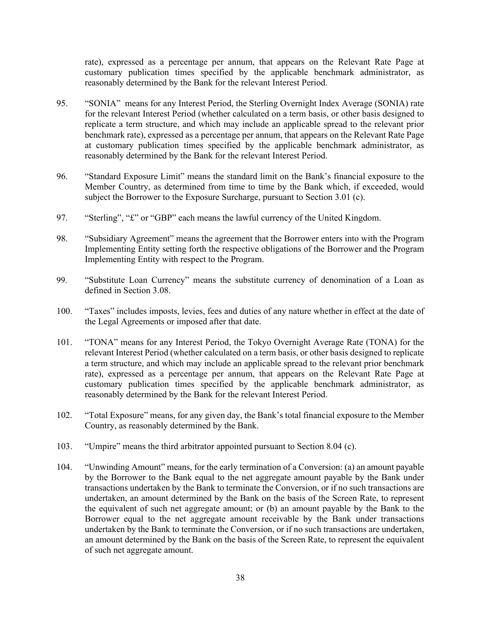rate), expressed as a percentage per annum, that appears on the Relevant Rate Page at customary publication times specified by the applicable benchmark administrator, as reasonably determined by the Bank for the relevant Interest Period.

- 95. "SONIA" means for any Interest Period, the Sterling Overnight Index Average (SONIA) rate for the relevant Interest Period (whether calculated on a term basis, or other basis designed to replicate a term structure, and which may include an applicable spread to the relevant prior benchmark rate), expressed as a percentage per annum, that appears on the Relevant Rate Page at customary publication times specified by the applicable benchmark administrator, as reasonably determined by the Bank for the relevant Interest Period.
- 96. "Standard Exposure Limit" means the standard limit on the Bank's financial exposure to the Member Country, as determined from time to time by the Bank which, if exceeded, would subject the Borrower to the Exposure Surcharge, pursuant to Section 3.01 (c).
- 97. "Sterling", "£" or "GBP" each means the lawful currency of the United Kingdom.
- 98. "Subsidiary Agreement" means the agreement that the Borrower enters into with the Program Implementing Entity setting forth the respective obligations of the Borrower and the Program Implementing Entity with respect to the Program.
- 99. "Substitute Loan Currency" means the substitute currency of denomination of a Loan as defined in Section 3.08.
- 100. "Taxes" includes imposts, levies, fees and duties of any nature whether in effect at the date of the Legal Agreements or imposed after that date.
- 101. "TONA" means for any Interest Period, the Tokyo Overnight Average Rate (TONA) for the relevant Interest Period (whether calculated on a term basis, or other basis designed to replicate a term structure, and which may include an applicable spread to the relevant prior benchmark rate), expressed as a percentage per annum, that appears on the Relevant Rate Page at customary publication times specified by the applicable benchmark administrator, as reasonably determined by the Bank for the relevant Interest Period.
- 102. "Total Exposure" means, for any given day, the Bank's total financial exposure to the Member Country, as reasonably determined by the Bank.
- 103. "Umpire" means the third arbitrator appointed pursuant to Section 8.04 (c).
- 104. "Unwinding Amount" means, for the early termination of a Conversion: (a) an amount payable by the Borrower to the Bank equal to the net aggregate amount payable by the Bank under transactions undertaken by the Bank to terminate the Conversion, or if no such transactions are undertaken, an amount determined by the Bank on the basis of the Screen Rate, to represent the equivalent of such net aggregate amount; or (b) an amount payable by the Bank to the Borrower equal to the net aggregate amount receivable by the Bank under transactions undertaken by the Bank to terminate the Conversion, or if no such transactions are undertaken, an amount determined by the Bank on the basis of the Screen Rate, to represent the equivalent of such net aggregate amount.